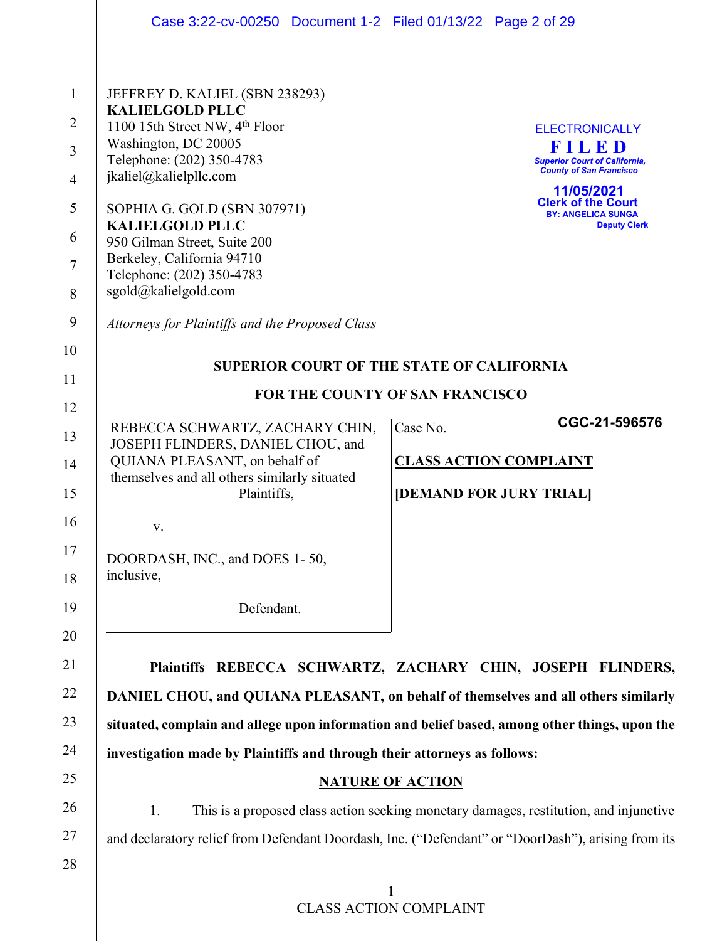|                                                                                                         | Case 3:22-cv-00250 Document 1-2 Filed 01/13/22 Page 2 of 29                                                                                                                                                                                                                                                                                                                                                          |                                                                                                                                                                                                                                                             |
|---------------------------------------------------------------------------------------------------------|----------------------------------------------------------------------------------------------------------------------------------------------------------------------------------------------------------------------------------------------------------------------------------------------------------------------------------------------------------------------------------------------------------------------|-------------------------------------------------------------------------------------------------------------------------------------------------------------------------------------------------------------------------------------------------------------|
| $\mathbf{1}$<br>$\overline{2}$<br>$\overline{3}$<br>$\overline{4}$<br>5<br>6<br>7<br>8<br>9<br>10<br>11 | JEFFREY D. KALIEL (SBN 238293)<br><b>KALIELGOLD PLLC</b><br>1100 15th Street NW, 4 <sup>th</sup> Floor<br>Washington, DC 20005<br>Telephone: (202) 350-4783<br>jkaliel@kalielpllc.com<br>SOPHIA G. GOLD (SBN 307971)<br><b>KALIELGOLD PLLC</b><br>950 Gilman Street, Suite 200<br>Berkeley, California 94710<br>Telephone: (202) 350-4783<br>sgold@kalielgold.com<br>Attorneys for Plaintiffs and the Proposed Class | <b>ELECTRONICALLY</b><br>FILED<br><b>Superior Court of California,</b><br><b>County of San Francisco</b><br>11/05/2021<br><b>Clerk of the Court</b><br><b>BY: ANGELICA SUNGA</b><br><b>Deputy Clerk</b><br><b>SUPERIOR COURT OF THE STATE OF CALIFORNIA</b> |
| 12                                                                                                      |                                                                                                                                                                                                                                                                                                                                                                                                                      | FOR THE COUNTY OF SAN FRANCISCO                                                                                                                                                                                                                             |
| 13<br>14<br>15                                                                                          | REBECCA SCHWARTZ, ZACHARY CHIN,<br>JOSEPH FLINDERS, DANIEL CHOU, and<br>QUIANA PLEASANT, on behalf of<br>themselves and all others similarly situated<br>Plaintiffs,                                                                                                                                                                                                                                                 | CGC-21-596576<br>Case No.<br><b>CLASS ACTION COMPLAINT</b><br>[DEMAND FOR JURY TRIAL]                                                                                                                                                                       |
| 16<br>17<br>18                                                                                          | V.<br>DOORDASH, INC., and DOES 1-50,<br>inclusive,                                                                                                                                                                                                                                                                                                                                                                   |                                                                                                                                                                                                                                                             |
| 19                                                                                                      | Defendant.                                                                                                                                                                                                                                                                                                                                                                                                           |                                                                                                                                                                                                                                                             |
| 20<br>21                                                                                                |                                                                                                                                                                                                                                                                                                                                                                                                                      | Plaintiffs REBECCA SCHWARTZ, ZACHARY CHIN, JOSEPH FLINDERS,                                                                                                                                                                                                 |
| 22                                                                                                      |                                                                                                                                                                                                                                                                                                                                                                                                                      | DANIEL CHOU, and QUIANA PLEASANT, on behalf of themselves and all others similarly                                                                                                                                                                          |
| 23                                                                                                      | situated, complain and allege upon information and belief based, among other things, upon the                                                                                                                                                                                                                                                                                                                        |                                                                                                                                                                                                                                                             |
| 24                                                                                                      | investigation made by Plaintiffs and through their attorneys as follows:                                                                                                                                                                                                                                                                                                                                             |                                                                                                                                                                                                                                                             |
| 25<br>26                                                                                                | <b>NATURE OF ACTION</b>                                                                                                                                                                                                                                                                                                                                                                                              |                                                                                                                                                                                                                                                             |
| 27                                                                                                      | This is a proposed class action seeking monetary damages, restitution, and injunctive<br>1.<br>and declaratory relief from Defendant Doordash, Inc. ("Defendant" or "DoorDash"), arising from its                                                                                                                                                                                                                    |                                                                                                                                                                                                                                                             |
| 28                                                                                                      |                                                                                                                                                                                                                                                                                                                                                                                                                      |                                                                                                                                                                                                                                                             |
|                                                                                                         | <b>CLASS ACTION COMPLAINT</b>                                                                                                                                                                                                                                                                                                                                                                                        |                                                                                                                                                                                                                                                             |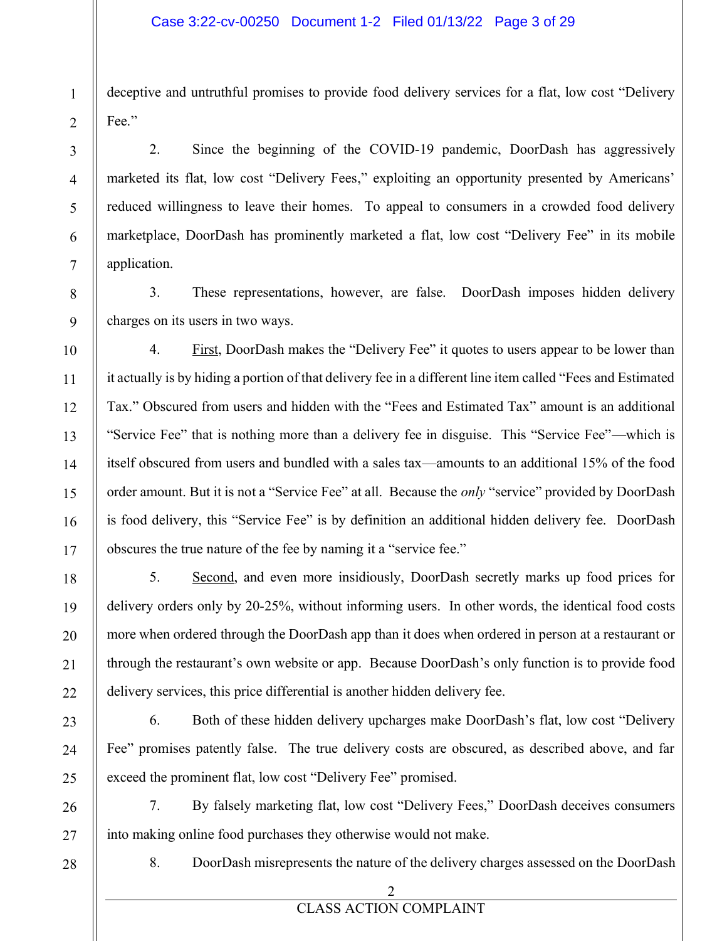deceptive and untruthful promises to provide food delivery services for a flat, low cost "Delivery" Fee."

2. Since the beginning of the COVID-19 pandemic, DoorDash has aggressively marketed its flat, low cost "Delivery Fees," exploiting an opportunity presented by Americans' reduced willingness to leave their homes. To appeal to consumers in a crowded food delivery marketplace, DoorDash has prominently marketed a flat, low cost "Delivery Fee" in its mobile application.

3. These representations, however, are false. DoorDash imposes hidden delivery charges on its users in two ways.

4. First, DoorDash makes the "Delivery Fee" it quotes to users appear to be lower than it actually is by hiding a portion of that delivery fee in a different line item called "Fees and Estimated Tax." Obscured from users and hidden with the "Fees and Estimated Tax" amount is an additional "Service Fee" that is nothing more than a delivery fee in disguise. This "Service Fee"—which is itself obscured from users and bundled with a sales tax—amounts to an additional 15% of the food order amount. But it is not a "Service Fee" at all. Because the *only* "service" provided by DoorDash is food delivery, this "Service Fee" is by definition an additional hidden delivery fee. DoorDash obscures the true nature of the fee by naming it a "service fee."

5. Second, and even more insidiously, DoorDash secretly marks up food prices for delivery orders only by 20-25%, without informing users. In other words, the identical food costs more when ordered through the DoorDash app than it does when ordered in person at a restaurant or through the restaurant's own website or app. Because DoorDash's only function is to provide food delivery services, this price differential is another hidden delivery fee.

6. Both of these hidden delivery upcharges make DoorDash's flat, low cost "Delivery" Fee" promises patently false. The true delivery costs are obscured, as described above, and far exceed the prominent flat, low cost "Delivery Fee" promised.

7. By falsely marketing flat, low cost "Delivery Fees," DoorDash deceives consumers into making online food purchases they otherwise would not make.

28

1

2

3

4

5

6

7

8

9

10

11

12

13

14

15

16

17

18

19

20

21

22

23

24

25

26

27

8. DoorDash misrepresents the nature of the delivery charges assessed on the DoorDash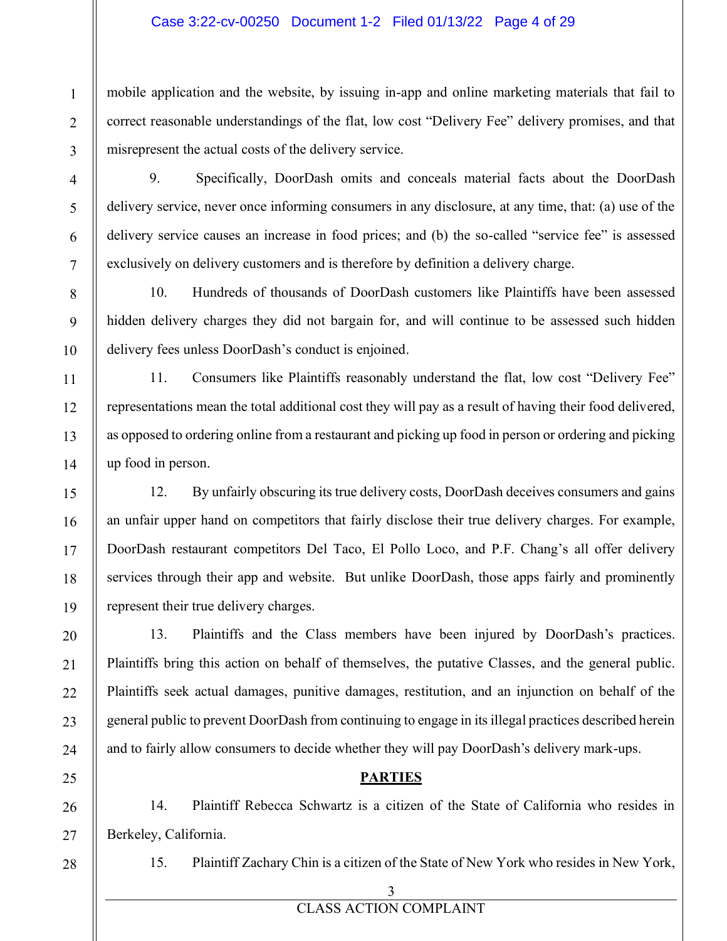#### Case 3:22-cv-00250 Document 1-2 Filed 01/13/22 Page 4 of 29

mobile application and the website, by issuing in-app and online marketing materials that fail to correct reasonable understandings of the flat, low cost "Delivery Fee" delivery promises, and that misrepresent the actual costs of the delivery service.

9. Specifically, DoorDash omits and conceals material facts about the DoorDash delivery service, never once informing consumers in any disclosure, at any time, that: (a) use of the delivery service causes an increase in food prices; and (b) the so-called "service fee" is assessed exclusively on delivery customers and is therefore by definition a delivery charge.

10. Hundreds of thousands of DoorDash customers like Plaintiffs have been assessed hidden delivery charges they did not bargain for, and will continue to be assessed such hidden delivery fees unless DoorDash's conduct is enjoined.

11. Consumers like Plaintiffs reasonably understand the flat, low cost "Delivery Fee" representations mean the total additional cost they will pay as a result of having their food delivered, as opposed to ordering online from a restaurant and picking up food in person or ordering and picking up food in person.

12. By unfairly obscuring its true delivery costs, DoorDash deceives consumers and gains an unfair upper hand on competitors that fairly disclose their true delivery charges. For example, DoorDash restaurant competitors Del Taco, El Pollo Loco, and P.F. Chang's all offer delivery services through their app and website. But unlike DoorDash, those apps fairly and prominently represent their true delivery charges.

13. Plaintiffs and the Class members have been injured by DoorDash's practices. Plaintiffs bring this action on behalf of themselves, the putative Classes, and the general public. Plaintiffs seek actual damages, punitive damages, restitution, and an injunction on behalf of the general public to prevent DoorDash from continuing to engage in its illegal practices described herein and to fairly allow consumers to decide whether they will pay DoorDash's delivery mark-ups.

## **PARTIES**

14. Plaintiff Rebecca Schwartz is a citizen of the State of California who resides in Berkeley, California.

28

1

2

3

4

5

6

7

8

9

10

11

12

13

14

15

16

17

18

19

20

21

22

23

24

25

26

27

15. Plaintiff Zachary Chin is a citizen of the State of New York who resides in New York,

3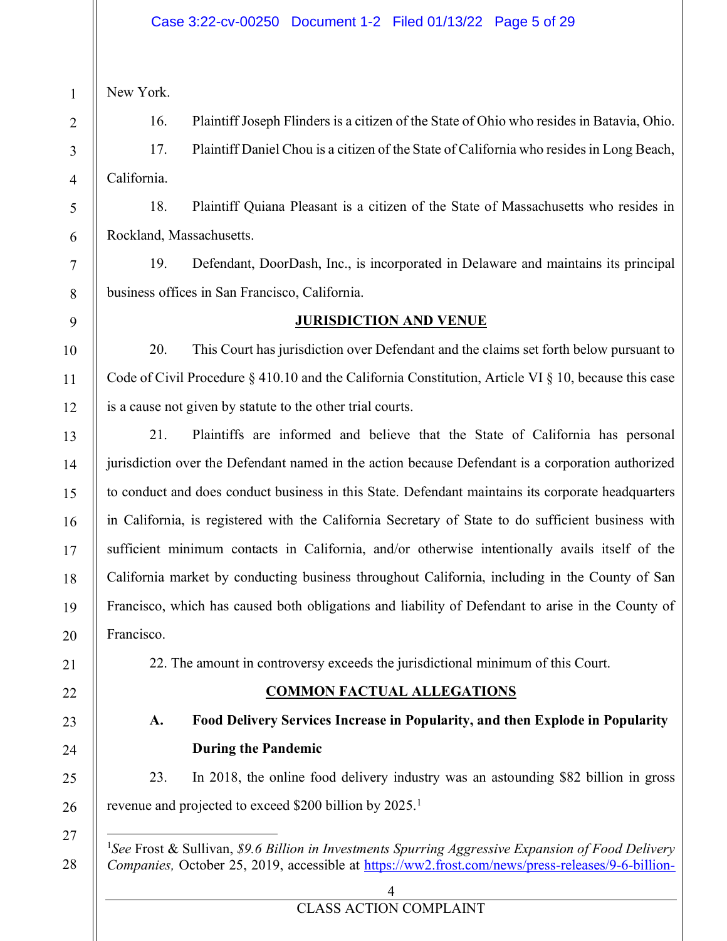New York.

16. Plaintiff Joseph Flinders is a citizen of the State of Ohio who resides in Batavia, Ohio.

17. Plaintiff Daniel Chou is a citizen of the State of California who resides in Long Beach, California.

18. Plaintiff Quiana Pleasant is a citizen of the State of Massachusetts who resides in Rockland, Massachusetts.

19. Defendant, DoorDash, Inc., is incorporated in Delaware and maintains its principal business offices in San Francisco, California.

## **JURISDICTION AND VENUE**

20. This Court has jurisdiction over Defendant and the claims set forth below pursuant to Code of Civil Procedure § 410.10 and the California Constitution, Article VI § 10, because this case is a cause not given by statute to the other trial courts.

21. Plaintiffs are informed and believe that the State of California has personal jurisdiction over the Defendant named in the action because Defendant is a corporation authorized to conduct and does conduct business in this State. Defendant maintains its corporate headquarters in California, is registered with the California Secretary of State to do sufficient business with sufficient minimum contacts in California, and/or otherwise intentionally avails itself of the California market by conducting business throughout California, including in the County of San Francisco, which has caused both obligations and liability of Defendant to arise in the County of Francisco.

22. The amount in controversy exceeds the jurisdictional minimum of this Court.

## **COMMON FACTUAL ALLEGATIONS**

**A. Food Delivery Services Increase in Popularity, and then Explode in Popularity During the Pandemic**

23. In 2018, the online food delivery industry was an astounding \$82 billion in gross revenue and projected to exceed \$200 billion by 2025.<sup>1</sup>

<sup>1</sup>*See* Frost & Sullivan, *\$9.6 Billion in Investments Spurring Aggressive Expansion of Food Delivery Companies,* October 25, 2019, accessible at https://ww2.frost.com/news/press-releases/9-6-billion-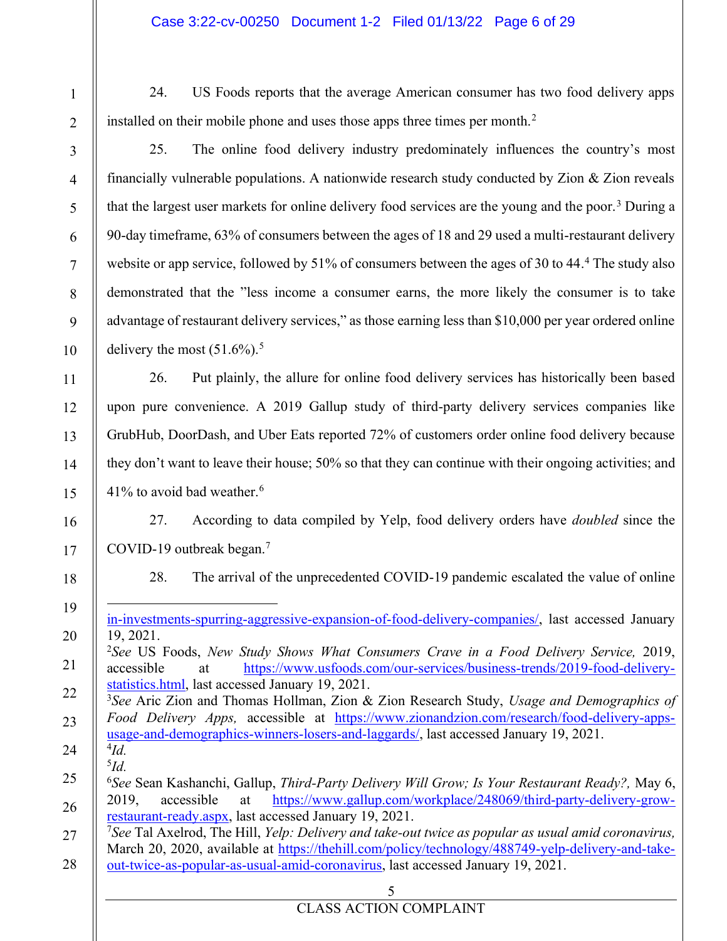24. US Foods reports that the average American consumer has two food delivery apps installed on their mobile phone and uses those apps three times per month.<sup>2</sup>

1

2

3

4

5

6

7

8

9

10

11

12

13

14

15

16

17

18

19

20

21

25. The online food delivery industry predominately influences the country's most financially vulnerable populations. A nationwide research study conducted by Zion  $\&$  Zion reveals that the largest user markets for online delivery food services are the young and the poor.<sup>3</sup> During a 90-day timeframe, 63% of consumers between the ages of 18 and 29 used a multi-restaurant delivery website or app service, followed by 51% of consumers between the ages of 30 to 44.<sup>4</sup> The study also demonstrated that the "less income a consumer earns, the more likely the consumer is to take advantage of restaurant delivery services," as those earning less than \$10,000 per year ordered online delivery the most  $(51.6\%)$ .<sup>5</sup>

26. Put plainly, the allure for online food delivery services has historically been based upon pure convenience. A 2019 Gallup study of third-party delivery services companies like GrubHub, DoorDash, and Uber Eats reported 72% of customers order online food delivery because they don't want to leave their house; 50% so that they can continue with their ongoing activities; and  $41\%$  to avoid bad weather.<sup>6</sup>

27. According to data compiled by Yelp, food delivery orders have *doubled* since the COVID-19 outbreak began.7

28. The arrival of the unprecedented COVID-19 pandemic escalated the value of online

in-investments-spurring-aggressive-expansion-of-food-delivery-companies/, last accessed January 19, 2021.

- 22 23 24 3 *See* Aric Zion and Thomas Hollman, Zion & Zion Research Study, *Usage and Demographics of Food Delivery Apps,* accessible at https://www.zionandzion.com/research/food-delivery-appsusage-and-demographics-winners-losers-and-laggards/, last accessed January 19, 2021. <sup>4</sup>*Id.*
	- <sup>5</sup>*Id.*

5

<sup>2</sup>*See* US Foods, *New Study Shows What Consumers Crave in a Food Delivery Service,* 2019, accessible at https://www.usfoods.com/our-services/business-trends/2019-food-deliverystatistics.html, last accessed January 19, 2021.

<sup>25</sup> 26 <sup>6</sup>*See* Sean Kashanchi, Gallup, *Third-Party Delivery Will Grow; Is Your Restaurant Ready?,* May 6, 2019, accessible at https://www.gallup.com/workplace/248069/third-party-delivery-growrestaurant-ready.aspx, last accessed January 19, 2021.

<sup>27</sup> 28 <sup>7</sup>*See* Tal Axelrod, The Hill, *Yelp: Delivery and take-out twice as popular as usual amid coronavirus,*  March 20, 2020, available at https://thehill.com/policy/technology/488749-yelp-delivery-and-takeout-twice-as-popular-as-usual-amid-coronavirus, last accessed January 19, 2021.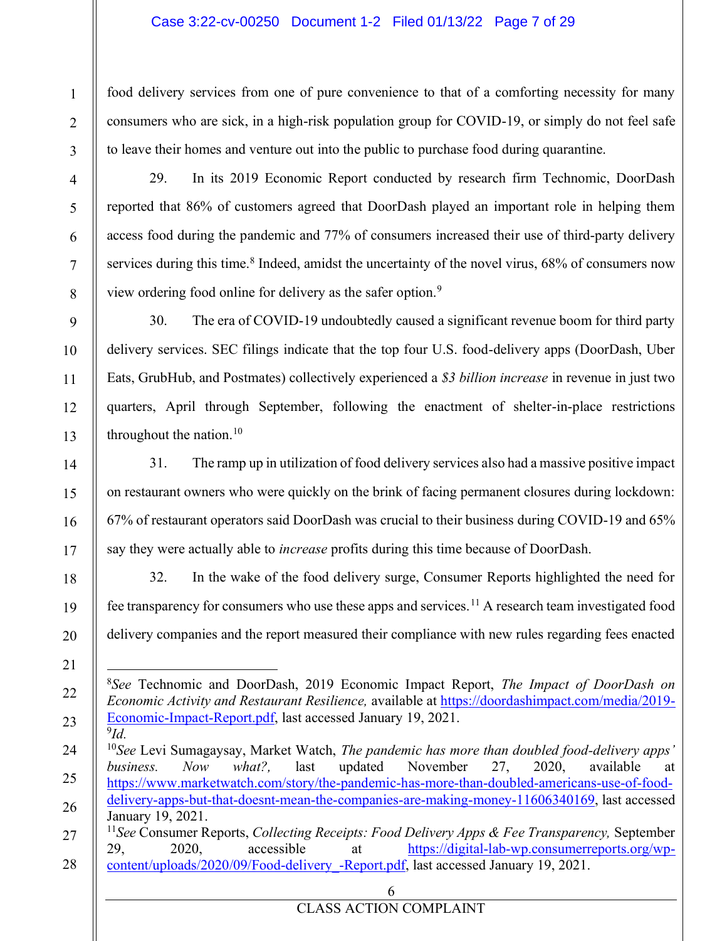## Case 3:22-cv-00250 Document 1-2 Filed 01/13/22 Page 7 of 29

food delivery services from one of pure convenience to that of a comforting necessity for many consumers who are sick, in a high-risk population group for COVID-19, or simply do not feel safe to leave their homes and venture out into the public to purchase food during quarantine.

29. In its 2019 Economic Report conducted by research firm Technomic, DoorDash reported that 86% of customers agreed that DoorDash played an important role in helping them access food during the pandemic and 77% of consumers increased their use of third-party delivery services during this time.<sup>8</sup> Indeed, amidst the uncertainty of the novel virus,  $68\%$  of consumers now view ordering food online for delivery as the safer option.9

30. The era of COVID-19 undoubtedly caused a significant revenue boom for third party delivery services. SEC filings indicate that the top four U.S. food-delivery apps (DoorDash, Uber Eats, GrubHub, and Postmates) collectively experienced a *\$3 billion increase* in revenue in just two quarters, April through September, following the enactment of shelter-in-place restrictions throughout the nation. $10$ 

31. The ramp up in utilization of food delivery services also had a massive positive impact on restaurant owners who were quickly on the brink of facing permanent closures during lockdown: 67% of restaurant operators said DoorDash was crucial to their business during COVID-19 and 65% say they were actually able to *increase* profits during this time because of DoorDash.

32. In the wake of the food delivery surge, Consumer Reports highlighted the need for fee transparency for consumers who use these apps and services.<sup>11</sup> A research team investigated food delivery companies and the report measured their compliance with new rules regarding fees enacted

<sup>8</sup>*See* Technomic and DoorDash, 2019 Economic Impact Report, *The Impact of DoorDash on Economic Activity and Restaurant Resilience,* available at https://doordashimpact.com/media/2019- Economic-Impact-Report.pdf, last accessed January 19, 2021. <sup>9</sup>*Id.*

<sup>&</sup>lt;sup>10</sup>See Levi Sumagaysay, Market Watch, *The pandemic has more than doubled food-delivery apps' business. Now what?,* last updated November 27, 2020, available at https://www.marketwatch.com/story/the-pandemic-has-more-than-doubled-americans-use-of-fooddelivery-apps-but-that-doesnt-mean-the-companies-are-making-money-11606340169, last accessed January 19, 2021. <sup>11</sup>*See* Consumer Reports, *Collecting Receipts: Food Delivery Apps & Fee Transparency,* September 29, 2020, accessible at https://digital-lab-wp.consumerreports.org/wp-

<sup>28</sup> content/uploads/2020/09/Food-delivery\_-Report.pdf, last accessed January 19, 2021.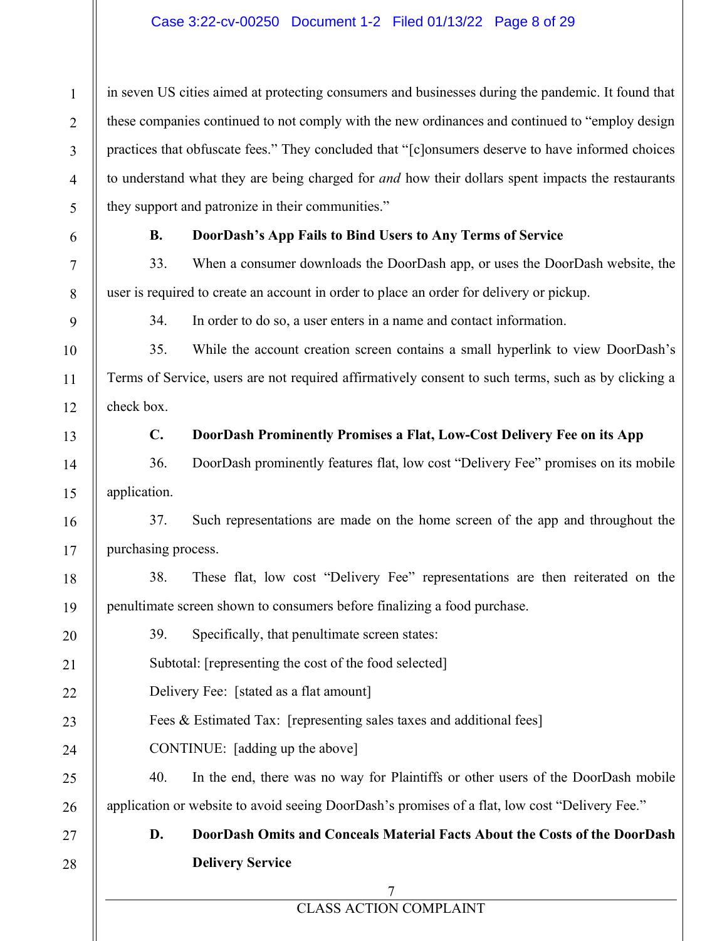## Case 3:22-cv-00250 Document 1-2 Filed 01/13/22 Page 8 of 29

in seven US cities aimed at protecting consumers and businesses during the pandemic. It found that these companies continued to not comply with the new ordinances and continued to "employ design practices that obfuscate fees." They concluded that "[c]onsumers deserve to have informed choices to understand what they are being charged for *and* how their dollars spent impacts the restaurants they support and patronize in their communities."

1

2

3

4

5

6

7

8

9

10

11

12

13

14

15

16

17

18

19

## **B. DoorDash¶s App Fails to Bind Users to Any Terms of Service**

33. When a consumer downloads the DoorDash app, or uses the DoorDash website, the user is required to create an account in order to place an order for delivery or pickup.

34. In order to do so, a user enters in a name and contact information.

35. While the account creation screen contains a small hyperlink to view DoorDash's Terms of Service, users are not required affirmatively consent to such terms, such as by clicking a check box.

#### **C. DoorDash Prominently Promises a Flat, Low-Cost Delivery Fee on its App**

36. DoorDash prominently features flat, low cost "Delivery Fee" promises on its mobile application.

37. Such representations are made on the home screen of the app and throughout the purchasing process.

38. These flat, low cost "Delivery Fee" representations are then reiterated on the penultimate screen shown to consumers before finalizing a food purchase.

| 20 | 39.<br>Specifically, that penultimate screen states:                                           |
|----|------------------------------------------------------------------------------------------------|
| 21 | Subtotal: [representing the cost of the food selected]                                         |
| 22 | Delivery Fee: [stated as a flat amount]                                                        |
| 23 | Fees & Estimated Tax: [representing sales taxes and additional fees]                           |
| 24 | CONTINUE: [adding up the above]                                                                |
| 25 | In the end, there was no way for Plaintiffs or other users of the DoorDash mobile<br>40.       |
| 26 | application or website to avoid seeing DoorDash's promises of a flat, low cost "Delivery Fee." |
| 27 | DoorDash Omits and Conceals Material Facts About the Costs of the DoorDash<br>D.               |
| 28 | <b>Delivery Service</b>                                                                        |
|    |                                                                                                |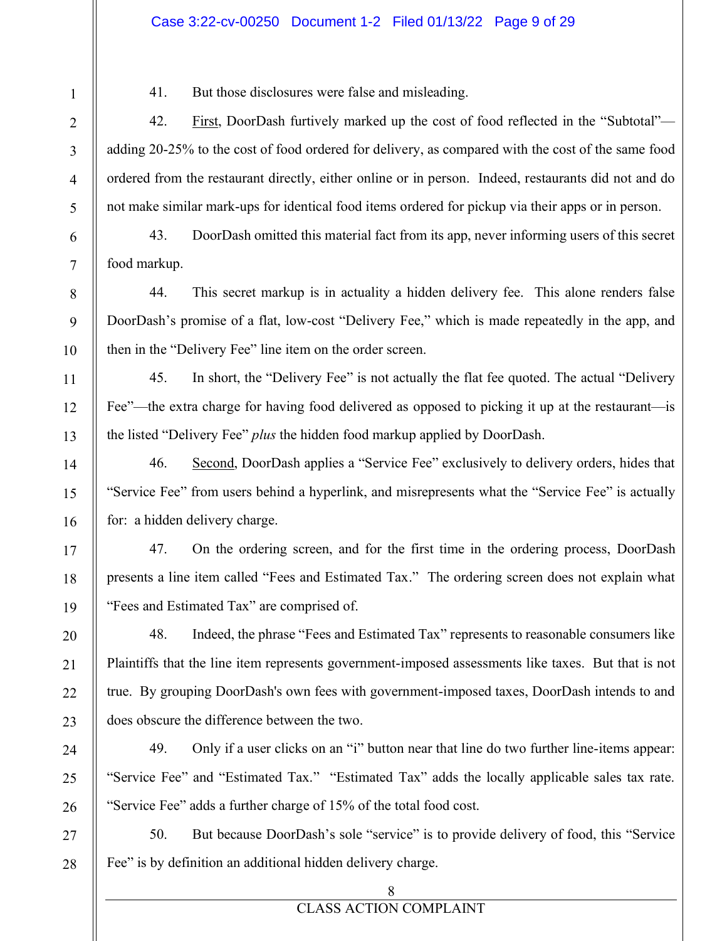#### Case 3:22-cv-00250 Document 1-2 Filed 01/13/22 Page 9 of 29

41. But those disclosures were false and misleading.

42. First, DoorDash furtively marked up the cost of food reflected in the "Subtotal" adding 20-25% to the cost of food ordered for delivery, as compared with the cost of the same food ordered from the restaurant directly, either online or in person. Indeed, restaurants did not and do not make similar mark-ups for identical food items ordered for pickup via their apps or in person.

43. DoorDash omitted this material fact from its app, never informing users of this secret food markup.

44. This secret markup is in actuality a hidden delivery fee. This alone renders false DoorDash's promise of a flat, low-cost "Delivery Fee," which is made repeatedly in the app, and then in the "Delivery Fee" line item on the order screen.

45. In short, the "Delivery Fee" is not actually the flat fee quoted. The actual "Delivery" Fee"—the extra charge for having food delivered as opposed to picking it up at the restaurant—is the listed "Delivery Fee" *plus* the hidden food markup applied by DoorDash.

46. Second, DoorDash applies a "Service Fee" exclusively to delivery orders, hides that "Service Fee" from users behind a hyperlink, and misrepresents what the "Service Fee" is actually for: a hidden delivery charge.

47. On the ordering screen, and for the first time in the ordering process, DoorDash presents a line item called "Fees and Estimated Tax." The ordering screen does not explain what "Fees and Estimated Tax" are comprised of.

48. Indeed, the phrase "Fees and Estimated Tax" represents to reasonable consumers like Plaintiffs that the line item represents government-imposed assessments like taxes. But that is not true. By grouping DoorDash's own fees with government-imposed taxes, DoorDash intends to and does obscure the difference between the two.

49. Only if a user clicks on an "i" button near that line do two further line-items appear: "Service Fee" and "Estimated Tax." "Estimated Tax" adds the locally applicable sales tax rate. "Service Fee" adds a further charge of 15% of the total food cost.

50. But because DoorDash's sole "service" is to provide delivery of food, this "Service" Fee" is by definition an additional hidden delivery charge.

8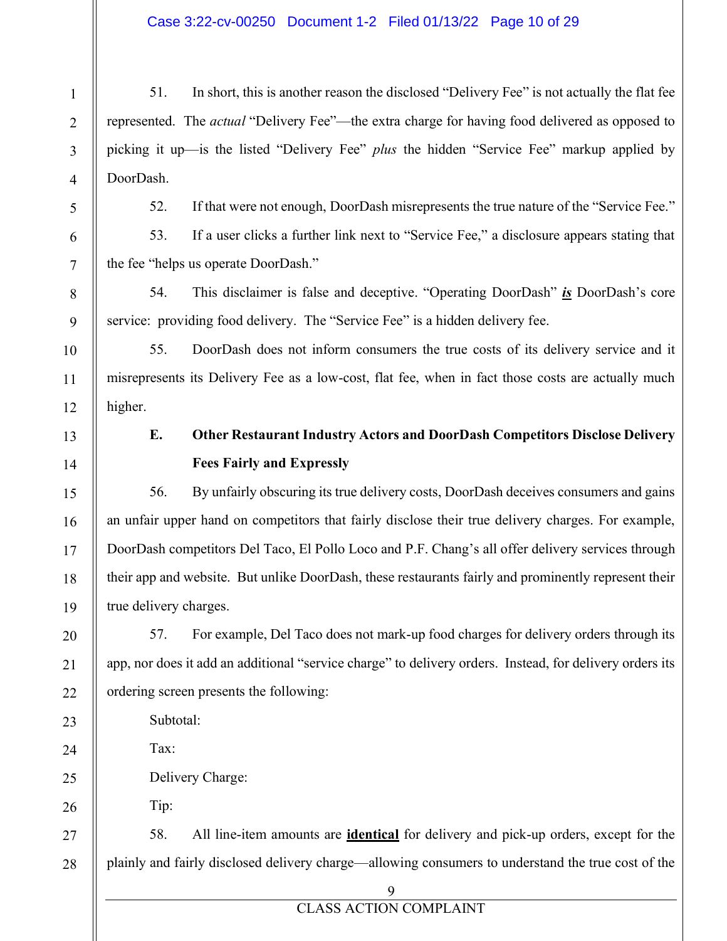## Case 3:22-cv-00250 Document 1-2 Filed 01/13/22 Page 10 of 29

51. In short, this is another reason the disclosed "Delivery Fee" is not actually the flat fee represented. The *actual* "Delivery Fee"—the extra charge for having food delivered as opposed to picking it up—is the listed "Delivery Fee" *plus* the hidden "Service Fee" markup applied by DoorDash.

52. If that were not enough, DoorDash misrepresents the true nature of the "Service Fee."

53. If a user clicks a further link next to "Service Fee," a disclosure appears stating that the fee "helps us operate DoorDash."

54. This disclaimer is false and deceptive. "Operating DoorDash" *is* DoorDash's core service: providing food delivery. The "Service Fee" is a hidden delivery fee.

55. DoorDash does not inform consumers the true costs of its delivery service and it misrepresents its Delivery Fee as a low-cost, flat fee, when in fact those costs are actually much higher.

# **E. Other Restaurant Industry Actors and DoorDash Competitors Disclose Delivery Fees Fairly and Expressly**

56. By unfairly obscuring its true delivery costs, DoorDash deceives consumers and gains an unfair upper hand on competitors that fairly disclose their true delivery charges. For example, DoorDash competitors Del Taco, El Pollo Loco and P.F. Chang's all offer delivery services through their app and website. But unlike DoorDash, these restaurants fairly and prominently represent their true delivery charges.

57. For example, Del Taco does not mark-up food charges for delivery orders through its app, nor does it add an additional "service charge" to delivery orders. Instead, for delivery orders its ordering screen presents the following:

Subtotal:

Tax:

Delivery Charge:

Tip:

58. All line-item amounts are **identical** for delivery and pick-up orders, except for the plainly and fairly disclosed delivery charge—allowing consumers to understand the true cost of the

1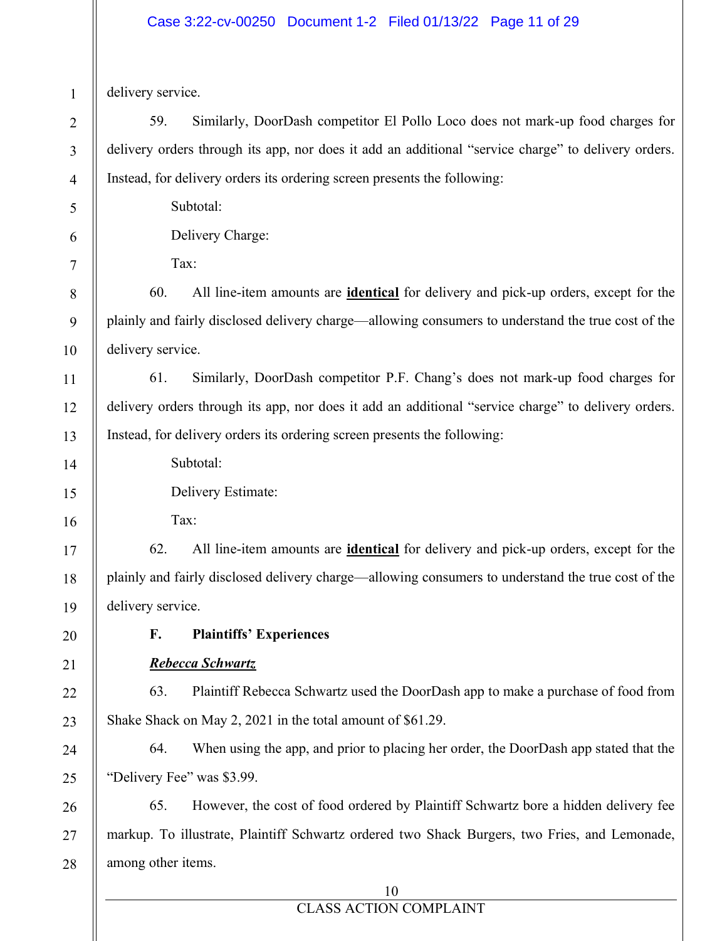delivery service.

59. Similarly, DoorDash competitor El Pollo Loco does not mark-up food charges for delivery orders through its app, nor does it add an additional "service charge" to delivery orders. Instead, for delivery orders its ordering screen presents the following:

Subtotal:

Delivery Charge:

Tax:

60. All line-item amounts are **identical** for delivery and pick-up orders, except for the plainly and fairly disclosed delivery charge—allowing consumers to understand the true cost of the delivery service.

61. Similarly, DoorDash competitor P.F. Chang's does not mark-up food charges for delivery orders through its app, nor does it add an additional "service charge" to delivery orders. Instead, for delivery orders its ordering screen presents the following:

Subtotal:

Delivery Estimate:

Tax:

62. All line-item amounts are **identical** for delivery and pick-up orders, except for the plainly and fairly disclosed delivery charge—allowing consumers to understand the true cost of the delivery service.

# **F. Plaintiffs¶ Experiences**

## *Rebecca Schwartz*

63. Plaintiff Rebecca Schwartz used the DoorDash app to make a purchase of food from Shake Shack on May 2, 2021 in the total amount of \$61.29.

64. When using the app, and prior to placing her order, the DoorDash app stated that the "Delivery Fee" was \$3.99.

65. However, the cost of food ordered by Plaintiff Schwartz bore a hidden delivery fee markup. To illustrate, Plaintiff Schwartz ordered two Shack Burgers, two Fries, and Lemonade, among other items.

## 10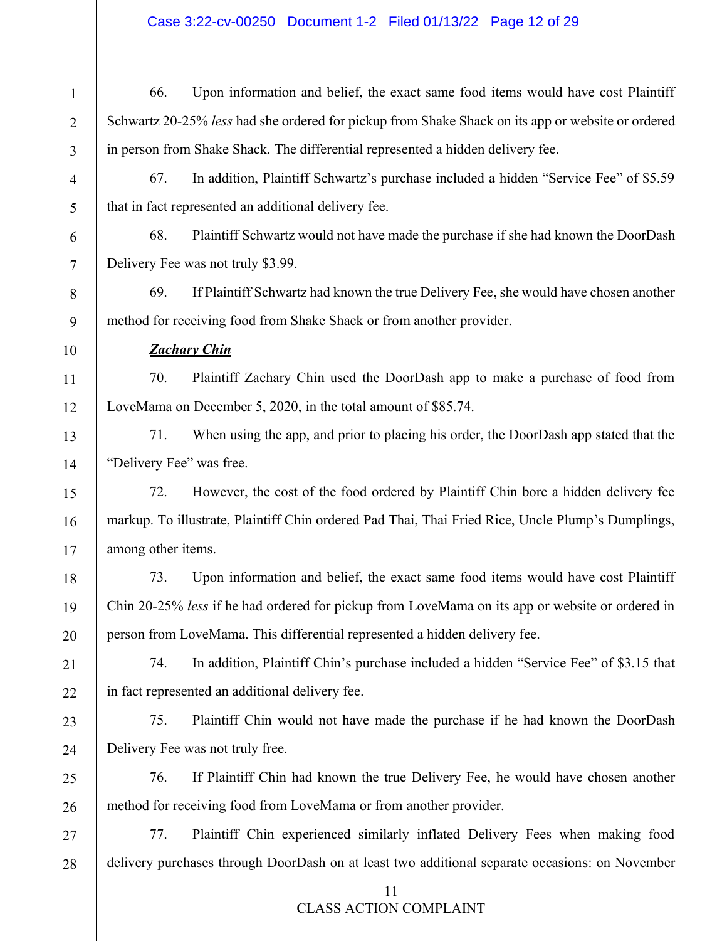## Case 3:22-cv-00250 Document 1-2 Filed 01/13/22 Page 12 of 29

66. Upon information and belief, the exact same food items would have cost Plaintiff Schwartz 20-25% *less* had she ordered for pickup from Shake Shack on its app or website or ordered in person from Shake Shack. The differential represented a hidden delivery fee.

67. In addition, Plaintiff Schwartz's purchase included a hidden "Service Fee" of  $$5.59$ that in fact represented an additional delivery fee.

68. Plaintiff Schwartz would not have made the purchase if she had known the DoorDash Delivery Fee was not truly \$3.99.

69. If Plaintiff Schwartz had known the true Delivery Fee, she would have chosen another method for receiving food from Shake Shack or from another provider.

## *Zachary Chin*

70. Plaintiff Zachary Chin used the DoorDash app to make a purchase of food from LoveMama on December 5, 2020, in the total amount of \$85.74.

71. When using the app, and prior to placing his order, the DoorDash app stated that the "Delivery Fee" was free.

72. However, the cost of the food ordered by Plaintiff Chin bore a hidden delivery fee markup. To illustrate, Plaintiff Chin ordered Pad Thai, Thai Fried Rice, Uncle Plump's Dumplings, among other items.

73. Upon information and belief, the exact same food items would have cost Plaintiff Chin 20-25% *less* if he had ordered for pickup from LoveMama on its app or website or ordered in person from LoveMama. This differential represented a hidden delivery fee.

74. In addition, Plaintiff Chin's purchase included a hidden "Service Fee" of \$3.15 that in fact represented an additional delivery fee.

75. Plaintiff Chin would not have made the purchase if he had known the DoorDash Delivery Fee was not truly free.

76. If Plaintiff Chin had known the true Delivery Fee, he would have chosen another method for receiving food from LoveMama or from another provider.

77. Plaintiff Chin experienced similarly inflated Delivery Fees when making food delivery purchases through DoorDash on at least two additional separate occasions: on November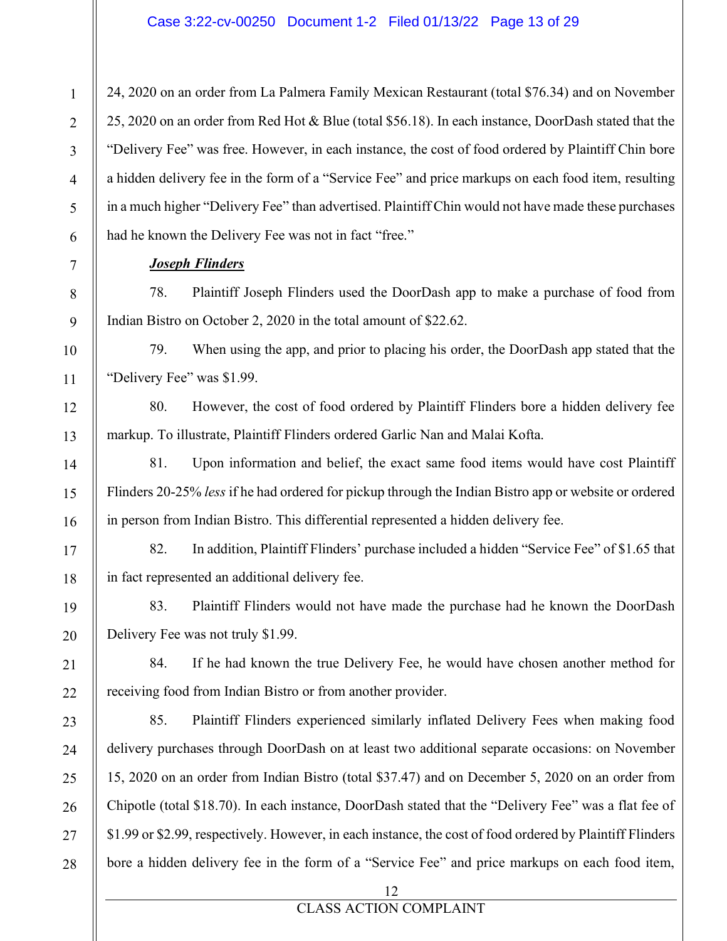24, 2020 on an order from La Palmera Family Mexican Restaurant (total \$76.34) and on November 25, 2020 on an order from Red Hot & Blue (total \$56.18). In each instance, DoorDash stated that the "Delivery Fee" was free. However, in each instance, the cost of food ordered by Plaintiff Chin bore a hidden delivery fee in the form of a "Service Fee" and price markups on each food item, resulting in a much higher "Delivery Fee" than advertised. Plaintiff Chin would not have made these purchases had he known the Delivery Fee was not in fact "free."

## *Joseph Flinders*

78. Plaintiff Joseph Flinders used the DoorDash app to make a purchase of food from Indian Bistro on October 2, 2020 in the total amount of \$22.62.

79. When using the app, and prior to placing his order, the DoorDash app stated that the "Delivery Fee" was \$1.99.

80. However, the cost of food ordered by Plaintiff Flinders bore a hidden delivery fee markup. To illustrate, Plaintiff Flinders ordered Garlic Nan and Malai Kofta.

81. Upon information and belief, the exact same food items would have cost Plaintiff Flinders 20-25% *less* if he had ordered for pickup through the Indian Bistro app or website or ordered in person from Indian Bistro. This differential represented a hidden delivery fee.

82. In addition, Plaintiff Flinders' purchase included a hidden "Service Fee" of \$1.65 that in fact represented an additional delivery fee.

83. Plaintiff Flinders would not have made the purchase had he known the DoorDash Delivery Fee was not truly \$1.99.

84. If he had known the true Delivery Fee, he would have chosen another method for receiving food from Indian Bistro or from another provider.

85. Plaintiff Flinders experienced similarly inflated Delivery Fees when making food delivery purchases through DoorDash on at least two additional separate occasions: on November 15, 2020 on an order from Indian Bistro (total \$37.47) and on December 5, 2020 on an order from Chipotle (total \$18.70). In each instance, DoorDash stated that the "Delivery Fee" was a flat fee of \$1.99 or \$2.99, respectively. However, in each instance, the cost of food ordered by Plaintiff Flinders bore a hidden delivery fee in the form of a "Service Fee" and price markups on each food item,

12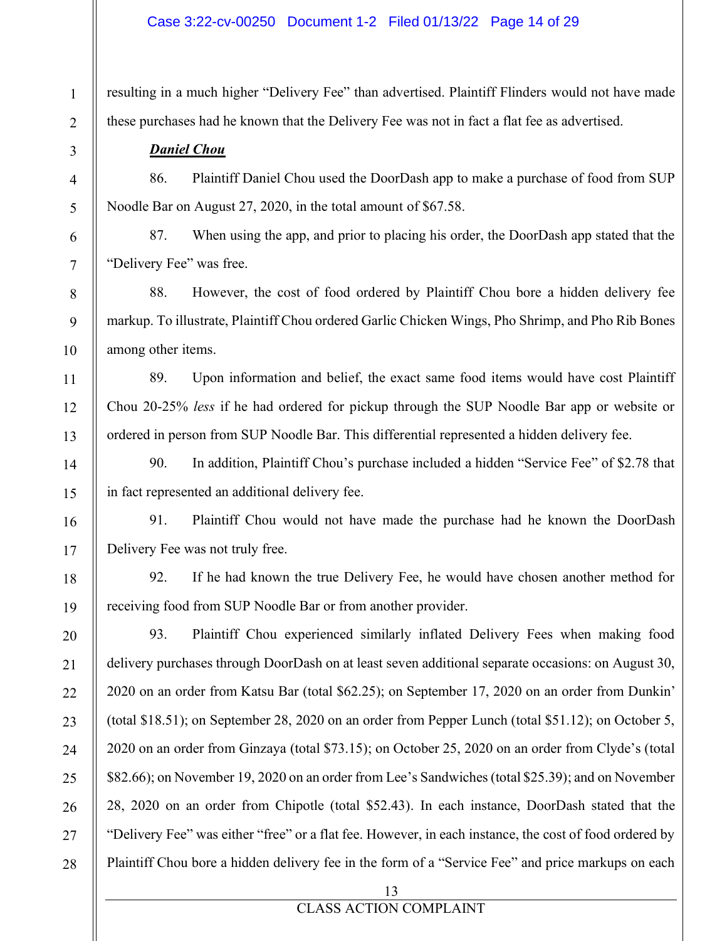#### Case 3:22-cv-00250 Document 1-2 Filed 01/13/22 Page 14 of 29

resulting in a much higher "Delivery Fee" than advertised. Plaintiff Flinders would not have made these purchases had he known that the Delivery Fee was not in fact a flat fee as advertised.

## *Daniel Chou*

86. Plaintiff Daniel Chou used the DoorDash app to make a purchase of food from SUP Noodle Bar on August 27, 2020, in the total amount of \$67.58.

87. When using the app, and prior to placing his order, the DoorDash app stated that the "Delivery Fee" was free.

88. However, the cost of food ordered by Plaintiff Chou bore a hidden delivery fee markup. To illustrate, Plaintiff Chou ordered Garlic Chicken Wings, Pho Shrimp, and Pho Rib Bones among other items.

89. Upon information and belief, the exact same food items would have cost Plaintiff Chou 20-25% *less* if he had ordered for pickup through the SUP Noodle Bar app or website or ordered in person from SUP Noodle Bar. This differential represented a hidden delivery fee.

90. In addition, Plaintiff Chou's purchase included a hidden "Service Fee" of \$2.78 that in fact represented an additional delivery fee.

91. Plaintiff Chou would not have made the purchase had he known the DoorDash Delivery Fee was not truly free.

92. If he had known the true Delivery Fee, he would have chosen another method for receiving food from SUP Noodle Bar or from another provider.

93. Plaintiff Chou experienced similarly inflated Delivery Fees when making food delivery purchases through DoorDash on at least seven additional separate occasions: on August 30, 2020 on an order from Katsu Bar (total \$62.25); on September 17, 2020 on an order from Dunkin' (total \$18.51); on September 28, 2020 on an order from Pepper Lunch (total \$51.12); on October 5, 2020 on an order from Ginzaya (total \$73.15); on October 25, 2020 on an order from Clyde's (total \$82.66); on November 19, 2020 on an order from Lee's Sandwiches (total \$25.39); and on November 28, 2020 on an order from Chipotle (total \$52.43). In each instance, DoorDash stated that the "Delivery Fee" was either "free" or a flat fee. However, in each instance, the cost of food ordered by Plaintiff Chou bore a hidden delivery fee in the form of a "Service Fee" and price markups on each

13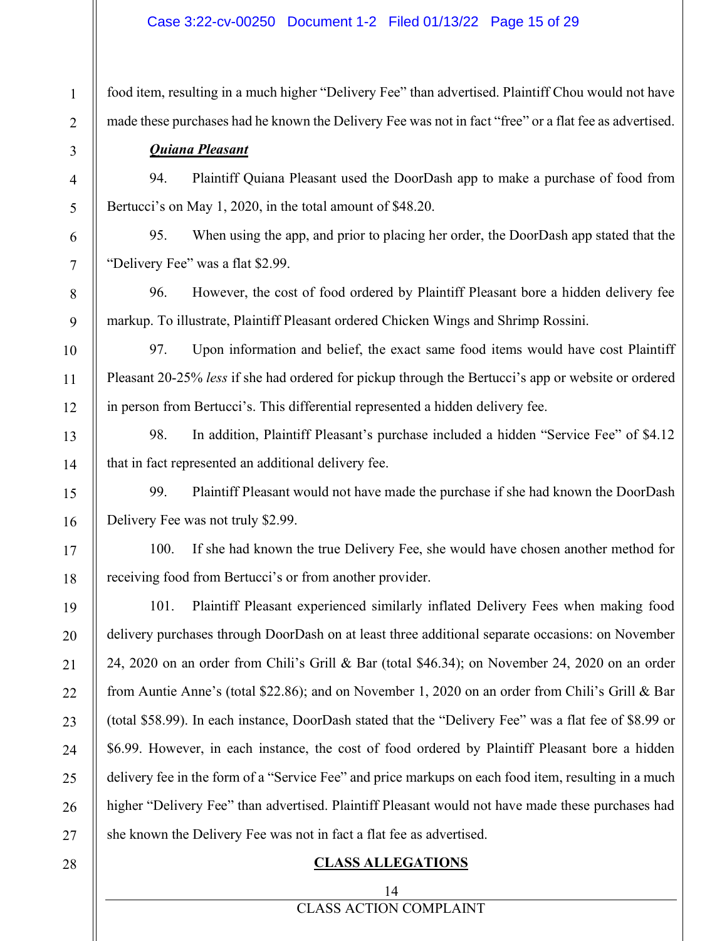#### Case 3:22-cv-00250 Document 1-2 Filed 01/13/22 Page 15 of 29

food item, resulting in a much higher "Delivery Fee" than advertised. Plaintiff Chou would not have made these purchases had he known the Delivery Fee was not in fact "free" or a flat fee as advertised.

### *Quiana Pleasant*

1

2

3

4

5

6

7

8

9

10

11

12

13

14

15

16

17

18

19

20

21

22

23

24

25

26

27

94. Plaintiff Quiana Pleasant used the DoorDash app to make a purchase of food from Bertucci's on May 1, 2020, in the total amount of \$48.20.

95. When using the app, and prior to placing her order, the DoorDash app stated that the "Delivery Fee" was a flat \$2.99.

96. However, the cost of food ordered by Plaintiff Pleasant bore a hidden delivery fee markup. To illustrate, Plaintiff Pleasant ordered Chicken Wings and Shrimp Rossini.

97. Upon information and belief, the exact same food items would have cost Plaintiff Pleasant 20-25% *less* if she had ordered for pickup through the Bertucci's app or website or ordered in person from Bertucci's. This differential represented a hidden delivery fee.

98. In addition, Plaintiff Pleasant's purchase included a hidden "Service Fee" of \$4.12 that in fact represented an additional delivery fee.

99. Plaintiff Pleasant would not have made the purchase if she had known the DoorDash Delivery Fee was not truly \$2.99.

100. If she had known the true Delivery Fee, she would have chosen another method for receiving food from Bertucci's or from another provider.

101. Plaintiff Pleasant experienced similarly inflated Delivery Fees when making food delivery purchases through DoorDash on at least three additional separate occasions: on November 24, 2020 on an order from Chili's Grill & Bar (total \$46.34); on November 24, 2020 on an order from Auntie Anne's (total \$22.86); and on November 1, 2020 on an order from Chili's Grill & Bar (total \$58.99). In each instance, DoorDash stated that the "Delivery Fee" was a flat fee of \$8.99 or \$6.99. However, in each instance, the cost of food ordered by Plaintiff Pleasant bore a hidden delivery fee in the form of a "Service Fee" and price markups on each food item, resulting in a much higher "Delivery Fee" than advertised. Plaintiff Pleasant would not have made these purchases had she known the Delivery Fee was not in fact a flat fee as advertised.

#### 28

#### **CLASS ALLEGATIONS**

## 14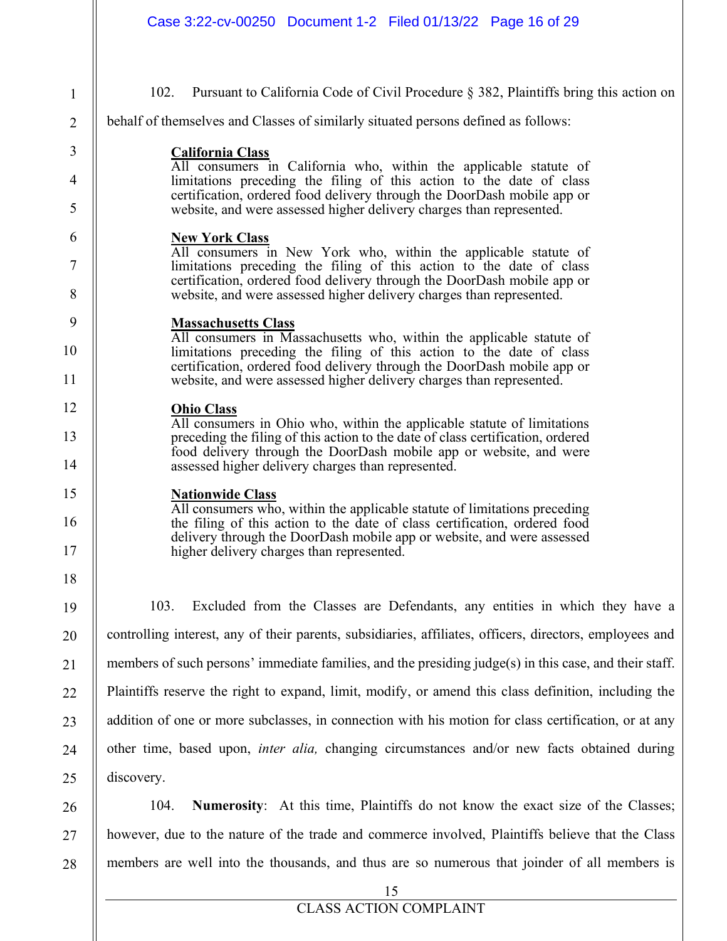| Case 3:22-cv-00250 Document 1-2 Filed 01/13/22 Page 16 of 29                                                                                                                                                                                                                                                                  |
|-------------------------------------------------------------------------------------------------------------------------------------------------------------------------------------------------------------------------------------------------------------------------------------------------------------------------------|
| 102.<br>Pursuant to California Code of Civil Procedure § 382, Plaintiffs bring this action on<br>behalf of themselves and Classes of similarly situated persons defined as follows:                                                                                                                                           |
| <b>California Class</b><br>All consumers in California who, within the applicable statute of<br>limitations preceding the filing of this action to the date of class<br>certification, ordered food delivery through the DoorDash mobile app or<br>website, and were assessed higher delivery charges than represented.       |
| <b>New York Class</b><br>All consumers in New York who, within the applicable statute of<br>limitations preceding the filing of this action to the date of class<br>certification, ordered food delivery through the DoorDash mobile app or<br>website, and were assessed higher delivery charges than represented.           |
| <b>Massachusetts Class</b><br>All consumers in Massachusetts who, within the applicable statute of<br>limitations preceding the filing of this action to the date of class<br>certification, ordered food delivery through the DoorDash mobile app or<br>website, and were assessed higher delivery charges than represented. |
| <b>Ohio Class</b><br>All consumers in Ohio who, within the applicable statute of limitations<br>preceding the filing of this action to the date of class certification, ordered<br>food delivery through the DoorDash mobile app or website, and were<br>assessed higher delivery charges than represented.                   |
| <b>Nationwide Class</b><br>All consumers who, within the applicable statute of limitations preceding<br>the filing of this action to the date of class certification, ordered food<br>delivery through the DoorDash mobile app or website, and were assessed<br>higher delivery charges than represented.                     |
| Excluded from the Classes are Defendants, any entities in which they have a<br>103.                                                                                                                                                                                                                                           |
| controlling interest, any of their parents, subsidiaries, affiliates, officers, directors, employees and                                                                                                                                                                                                                      |
| members of such persons' immediate families, and the presiding $judge(s)$ in this case, and their staff.                                                                                                                                                                                                                      |
| Plaintiffs reserve the right to expand, limit, modify, or amend this class definition, including the                                                                                                                                                                                                                          |
| addition of one or more subclasses, in connection with his motion for class certification, or at any                                                                                                                                                                                                                          |
| other time, based upon, <i>inter alia</i> , changing circumstances and/or new facts obtained during                                                                                                                                                                                                                           |
| discovery.                                                                                                                                                                                                                                                                                                                    |
| <b>Numerosity:</b> At this time, Plaintiffs do not know the exact size of the Classes;<br>104.                                                                                                                                                                                                                                |
| however, due to the nature of the trade and commerce involved, Plaintiffs believe that the Class                                                                                                                                                                                                                              |

1

2

3

4

5

6

7

8

9

10

11

12

13

14

15

16

17

18

19

20

21

22

23

24

25

26

27

28

members are well into the thousands, and thus are so numerous that joinder of all members is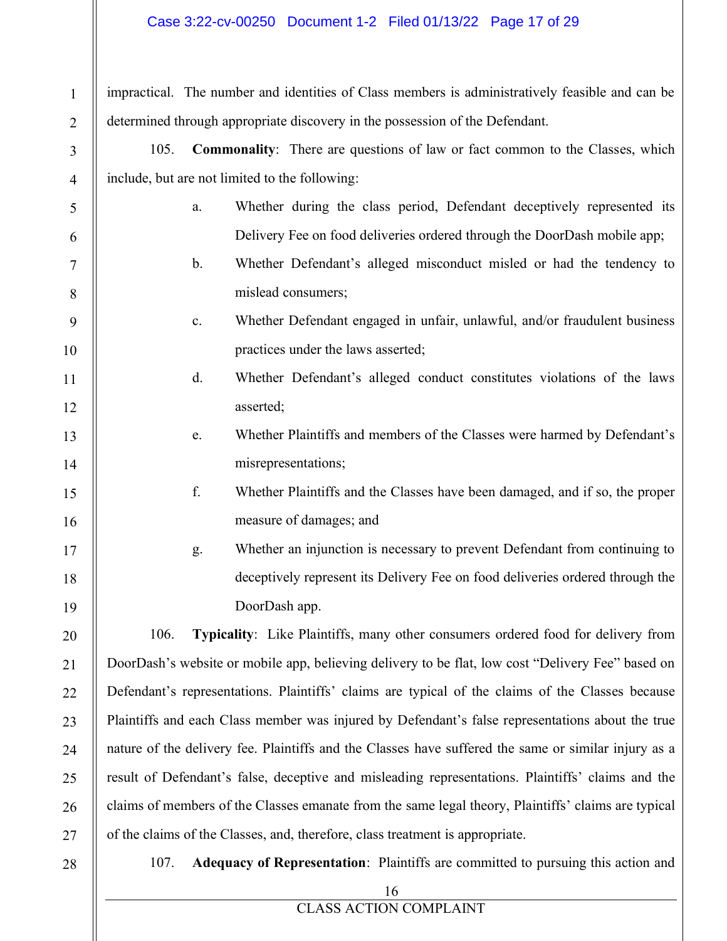## Case 3:22-cv-00250 Document 1-2 Filed 01/13/22 Page 17 of 29

impractical. The number and identities of Class members is administratively feasible and can be determined through appropriate discovery in the possession of the Defendant.

105. **Commonality**: There are questions of law or fact common to the Classes, which include, but are not limited to the following:

- a. Whether during the class period, Defendant deceptively represented its Delivery Fee on food deliveries ordered through the DoorDash mobile app;
- b. Whether Defendant's alleged misconduct misled or had the tendency to mislead consumers;

# c. Whether Defendant engaged in unfair, unlawful, and/or fraudulent business practices under the laws asserted;

- d. Whether Defendant's alleged conduct constitutes violations of the laws asserted;
- e. Whether Plaintiffs and members of the Classes were harmed by Defendant's misrepresentations;

# f. Whether Plaintiffs and the Classes have been damaged, and if so, the proper measure of damages; and

g. Whether an injunction is necessary to prevent Defendant from continuing to deceptively represent its Delivery Fee on food deliveries ordered through the DoorDash app.

106. **Typicality**: Like Plaintiffs, many other consumers ordered food for delivery from DoorDash's website or mobile app, believing delivery to be flat, low cost "Delivery Fee" based on Defendant's representations. Plaintiffs' claims are typical of the claims of the Classes because Plaintiffs and each Class member was injured by Defendant's false representations about the true nature of the delivery fee. Plaintiffs and the Classes have suffered the same or similar injury as a result of Defendant's false, deceptive and misleading representations. Plaintiffs' claims and the claims of members of the Classes emanate from the same legal theory, Plaintiffs' claims are typical of the claims of the Classes, and, therefore, class treatment is appropriate.

28

1

2

3

4

5

6

7

8

9

10

11

12

13

14

15

16

17

18

19

20

21

22

23

24

25

26

27

107. **Adequacy of Representation**: Plaintiffs are committed to pursuing this action and

16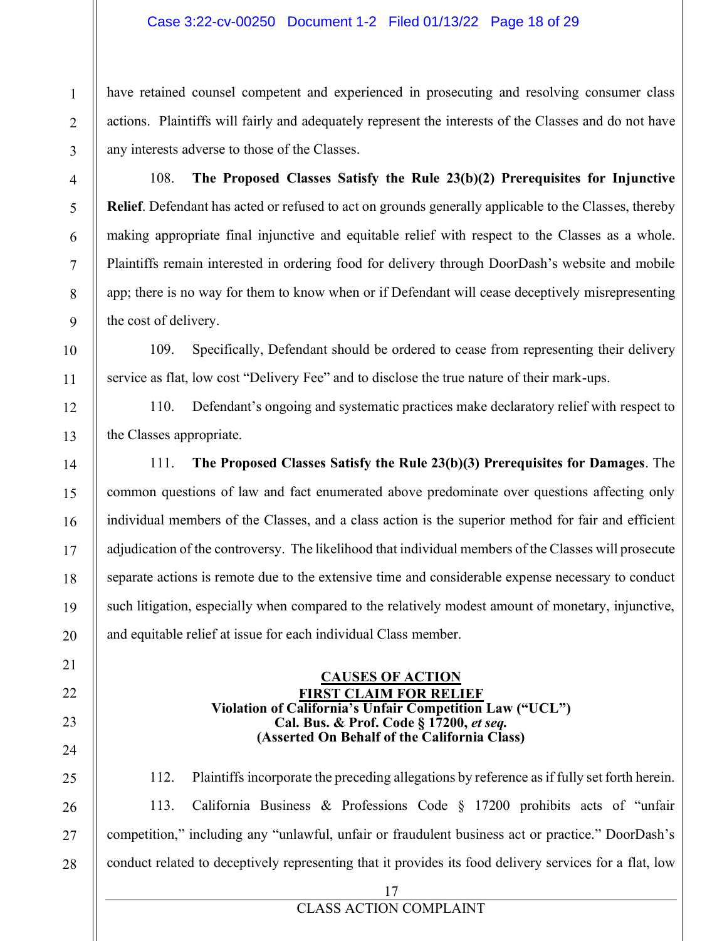## Case 3:22-cv-00250 Document 1-2 Filed 01/13/22 Page 18 of 29

have retained counsel competent and experienced in prosecuting and resolving consumer class actions. Plaintiffs will fairly and adequately represent the interests of the Classes and do not have any interests adverse to those of the Classes.

108. **The Proposed Classes Satisfy the Rule 23(b)(2) Prerequisites for Injunctive Relief**. Defendant has acted or refused to act on grounds generally applicable to the Classes, thereby making appropriate final injunctive and equitable relief with respect to the Classes as a whole. Plaintiffs remain interested in ordering food for delivery through DoorDash's website and mobile app; there is no way for them to know when or if Defendant will cease deceptively misrepresenting the cost of delivery.

109. Specifically, Defendant should be ordered to cease from representing their delivery service as flat, low cost "Delivery Fee" and to disclose the true nature of their mark-ups.

110. Defendant's ongoing and systematic practices make declaratory relief with respect to the Classes appropriate.

111. **The Proposed Classes Satisfy the Rule 23(b)(3) Prerequisites for Damages**. The common questions of law and fact enumerated above predominate over questions affecting only individual members of the Classes, and a class action is the superior method for fair and efficient adjudication of the controversy. The likelihood that individual members of the Classes will prosecute separate actions is remote due to the extensive time and considerable expense necessary to conduct such litigation, especially when compared to the relatively modest amount of monetary, injunctive, and equitable relief at issue for each individual Class member.

#### **CAUSES OF ACTION FIRST CLAIM FOR RELIEF Violation of California¶s Unfair Competition Law ("UCL") Cal. Bus. & Prof. Code § 17200,** *et seq.* **(Asserted On Behalf of the California Class)**

112. Plaintiffs incorporate the preceding allegations by reference as if fully set forth herein. 113. California Business & Professions Code  $\S$  17200 prohibits acts of "unfair competition," including any "unlawful, unfair or fraudulent business act or practice." DoorDash's conduct related to deceptively representing that it provides its food delivery services for a flat, low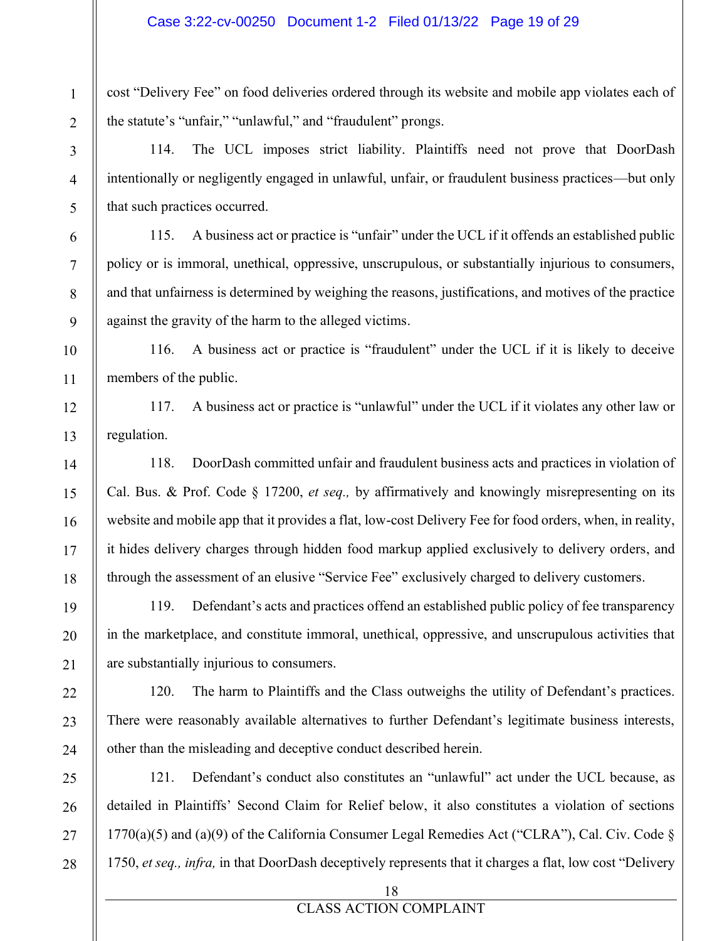cost "Delivery Fee" on food deliveries ordered through its website and mobile app violates each of the statute's "unfair," "unlawful," and "fraudulent" prongs.

114. The UCL imposes strict liability. Plaintiffs need not prove that DoorDash intentionally or negligently engaged in unlawful, unfair, or fraudulent business practices—but only that such practices occurred.

115. A business act or practice is "unfair" under the UCL if it offends an established public policy or is immoral, unethical, oppressive, unscrupulous, or substantially injurious to consumers, and that unfairness is determined by weighing the reasons, justifications, and motives of the practice against the gravity of the harm to the alleged victims.

116. A business act or practice is "fraudulent" under the UCL if it is likely to deceive members of the public.

117. A business act or practice is "unlawful" under the UCL if it violates any other law or regulation.

118. DoorDash committed unfair and fraudulent business acts and practices in violation of Cal. Bus. & Prof. Code § 17200, *et seq.,* by affirmatively and knowingly misrepresenting on its website and mobile app that it provides a flat, low-cost Delivery Fee for food orders, when, in reality, it hides delivery charges through hidden food markup applied exclusively to delivery orders, and through the assessment of an elusive "Service Fee" exclusively charged to delivery customers.

119. Defendant's acts and practices offend an established public policy of fee transparency in the marketplace, and constitute immoral, unethical, oppressive, and unscrupulous activities that are substantially injurious to consumers.

120. The harm to Plaintiffs and the Class outweighs the utility of Defendant's practices. There were reasonably available alternatives to further Defendant's legitimate business interests, other than the misleading and deceptive conduct described herein.

121. Defendant's conduct also constitutes an "unlawful" act under the UCL because, as detailed in Plaintiffs' Second Claim for Relief below, it also constitutes a violation of sections 1770(a)(5) and (a)(9) of the California Consumer Legal Remedies Act ("CLRA"), Cal. Civ. Code  $\S$ 1750, *et seq., infra,* in that DoorDash deceptively represents that it charges a flat, low cost "Delivery"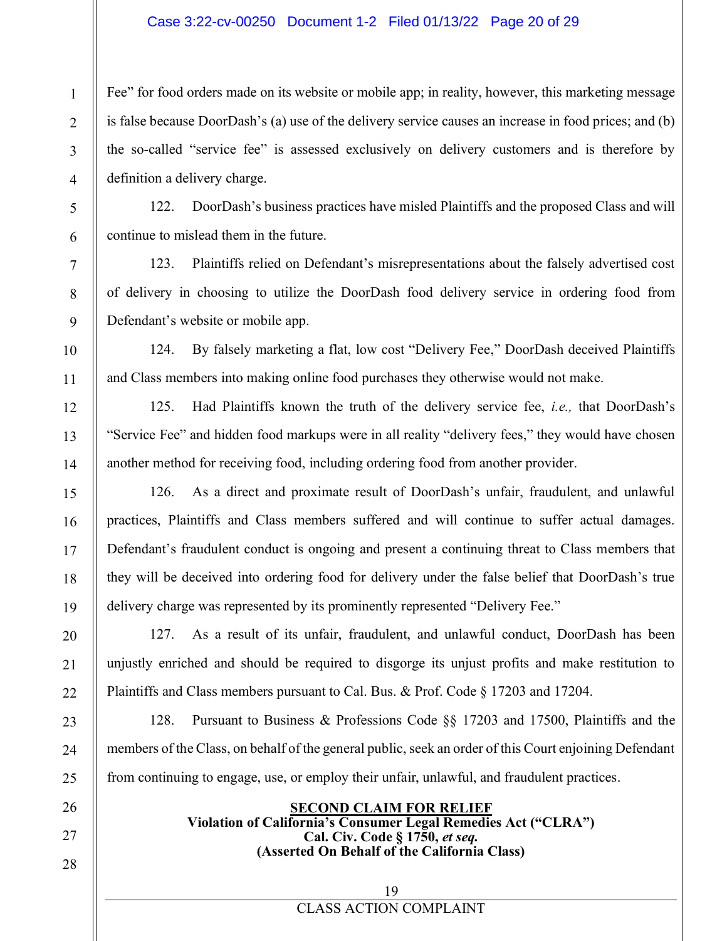## Case 3:22-cv-00250 Document 1-2 Filed 01/13/22 Page 20 of 29

Fee" for food orders made on its website or mobile app; in reality, however, this marketing message is false because DoorDash's (a) use of the delivery service causes an increase in food prices; and (b) the so-called "service fee" is assessed exclusively on delivery customers and is therefore by definition a delivery charge.

122. DoorDash's business practices have misled Plaintiffs and the proposed Class and will continue to mislead them in the future.

123. Plaintiffs relied on Defendant's misrepresentations about the falsely advertised cost of delivery in choosing to utilize the DoorDash food delivery service in ordering food from Defendant's website or mobile app.

124. By falsely marketing a flat, low cost "Delivery Fee," DoorDash deceived Plaintiffs and Class members into making online food purchases they otherwise would not make.

125. Had Plaintiffs known the truth of the delivery service fee, *i.e.*, that DoorDash's "Service Fee" and hidden food markups were in all reality "delivery fees," they would have chosen another method for receiving food, including ordering food from another provider.

126. As a direct and proximate result of DoorDash's unfair, fraudulent, and unlawful practices, Plaintiffs and Class members suffered and will continue to suffer actual damages. Defendant's fraudulent conduct is ongoing and present a continuing threat to Class members that they will be deceived into ordering food for delivery under the false belief that DoorDash's true delivery charge was represented by its prominently represented "Delivery Fee."

127. As a result of its unfair, fraudulent, and unlawful conduct, DoorDash has been unjustly enriched and should be required to disgorge its unjust profits and make restitution to Plaintiffs and Class members pursuant to Cal. Bus. & Prof. Code § 17203 and 17204.

128. Pursuant to Business & Professions Code  $\S$  17203 and 17500, Plaintiffs and the members of the Class, on behalf of the general public, seek an order of this Court enjoining Defendant from continuing to engage, use, or employ their unfair, unlawful, and fraudulent practices.

#### **SECOND CLAIM FOR RELIEF Violation of California¶s Consumer Legal Remedies Act ("CLRA") Cal. Civ. Code § 1750,** *et seq.* **(Asserted On Behalf of the California Class)**

CLASS ACTION COMPLAINT 19

28

1

2

3

4

5

6

7

8

9

10

11

12

13

14

15

16

17

18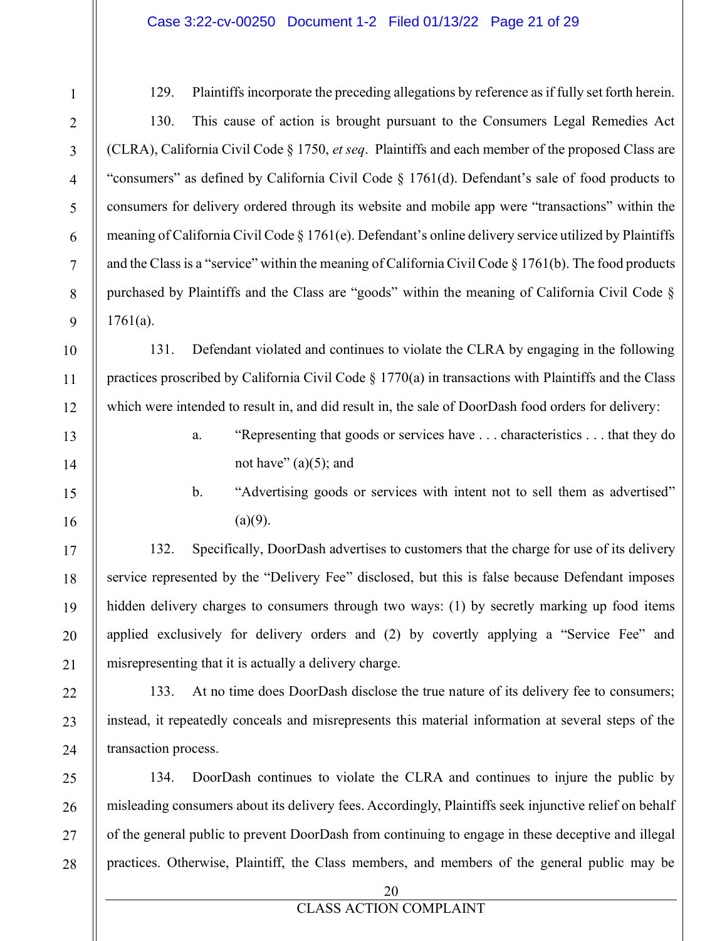#### Case 3:22-cv-00250 Document 1-2 Filed 01/13/22 Page 21 of 29

129. Plaintiffs incorporate the preceding allegations by reference as if fully set forth herein.

130. This cause of action is brought pursuant to the Consumers Legal Remedies Act (CLRA), California Civil Code § 1750, *et seq*. Plaintiffs and each member of the proposed Class are "consumers" as defined by California Civil Code  $\S$  1761(d). Defendant's sale of food products to consumers for delivery ordered through its website and mobile app were "transactions" within the meaning of California Civil Code  $\S 1761(e)$ . Defendant's online delivery service utilized by Plaintiffs and the Class is a "service" within the meaning of California Civil Code  $\S 1761(b)$ . The food products purchased by Plaintiffs and the Class are "goods" within the meaning of California Civil Code  $\S$  $1761(a)$ .

131. Defendant violated and continues to violate the CLRA by engaging in the following practices proscribed by California Civil Code § 1770(a) in transactions with Plaintiffs and the Class which were intended to result in, and did result in, the sale of DoorDash food orders for delivery:

- a. **Exercise 19 ARE 19 ARE 12 ARE 12 ARE 12 ARE 12 ARE 12 ARE 12 ARE 12 ARE 12 ARE 12 ARE 12 ARE 12 ARE 12 ARE 12 ARE 12 ARE 12 ARE 12 ARE 12 ARE 12 ARE 12 ARE 12 ARE 12 ARE 12 ARE 12 ARE 12 ARE 12 ARE 12 ARE 12 ARE 12 ARE** not have"  $(a)(5)$ ; and
- b. "Advertising goods or services with intent not to sell them as advertised"  $(a)(9)$ .

132. Specifically, DoorDash advertises to customers that the charge for use of its delivery service represented by the "Delivery Fee" disclosed, but this is false because Defendant imposes hidden delivery charges to consumers through two ways: (1) by secretly marking up food items applied exclusively for delivery orders and  $(2)$  by covertly applying a "Service Fee" and misrepresenting that it is actually a delivery charge.

133. At no time does DoorDash disclose the true nature of its delivery fee to consumers; instead, it repeatedly conceals and misrepresents this material information at several steps of the transaction process.

134. DoorDash continues to violate the CLRA and continues to injure the public by misleading consumers about its delivery fees. Accordingly, Plaintiffs seek injunctive relief on behalf of the general public to prevent DoorDash from continuing to engage in these deceptive and illegal practices. Otherwise, Plaintiff, the Class members, and members of the general public may be

20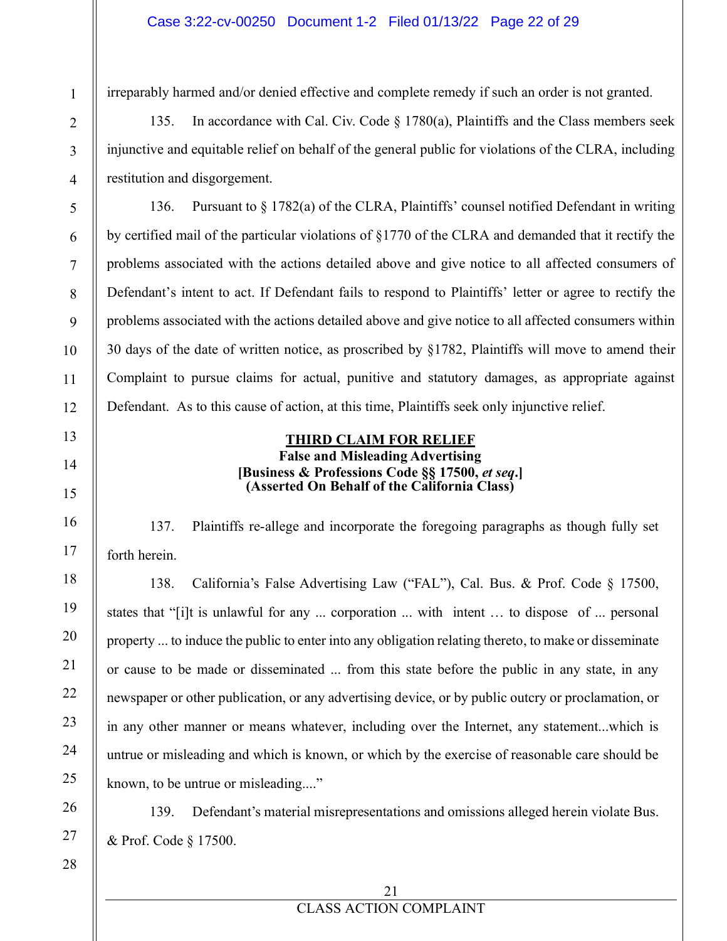#### Case 3:22-cv-00250 Document 1-2 Filed 01/13/22 Page 22 of 29

irreparably harmed and/or denied effective and complete remedy if such an order is not granted.

135. In accordance with Cal. Civ. Code  $\S$  1780(a), Plaintiffs and the Class members seek injunctive and equitable relief on behalf of the general public for violations of the CLRA, including restitution and disgorgement.

136. Pursuant to  $\S 1782(a)$  of the CLRA, Plaintiffs' counsel notified Defendant in writing by certified mail of the particular violations of §1770 of the CLRA and demanded that it rectify the problems associated with the actions detailed above and give notice to all affected consumers of Defendant's intent to act. If Defendant fails to respond to Plaintiffs' letter or agree to rectify the problems associated with the actions detailed above and give notice to all affected consumers within 30 days of the date of written notice, as proscribed by §1782, Plaintiffs will move to amend their Complaint to pursue claims for actual, punitive and statutory damages, as appropriate against Defendant. As to this cause of action, at this time, Plaintiffs seek only injunctive relief.

### **THIRD CLAIM FOR RELIEF False and Misleading Advertising [Business & Professions Code §§ 17500,** *et seq***.] (Asserted On Behalf of the California Class)**

137. Plaintiffs re-allege and incorporate the foregoing paragraphs as though fully set forth herein.

138. California's False Advertising Law ("FAL"), Cal. Bus. & Prof. Code  $\S$  17500, states that "[i]t is unlawful for any ... corporation ... with intent ... to dispose of ... personal property ... to induce the public to enter into any obligation relating thereto, to make or disseminate or cause to be made or disseminated ... from this state before the public in any state, in any newspaper or other publication, or any advertising device, or by public outcry or proclamation, or in any other manner or means whatever, including over the Internet, any statement...which is untrue or misleading and which is known, or which by the exercise of reasonable care should be known, to be untrue or misleading...."

139. Defendant's material misrepresentations and omissions alleged herein violate Bus. & Prof. Code § 17500.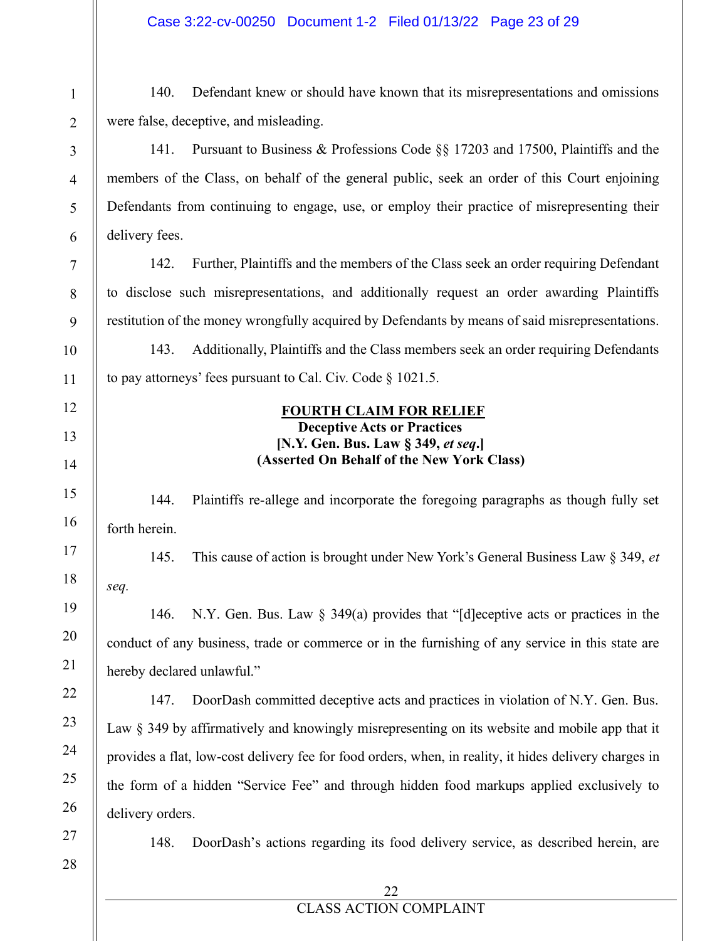140. Defendant knew or should have known that its misrepresentations and omissions were false, deceptive, and misleading.

141. Pursuant to Business & Professions Code  $\S$  17203 and 17500, Plaintiffs and the members of the Class, on behalf of the general public, seek an order of this Court enjoining Defendants from continuing to engage, use, or employ their practice of misrepresenting their delivery fees.

142. Further, Plaintiffs and the members of the Class seek an order requiring Defendant to disclose such misrepresentations, and additionally request an order awarding Plaintiffs restitution of the money wrongfully acquired by Defendants by means of said misrepresentations.

143. Additionally, Plaintiffs and the Class members seek an order requiring Defendants to pay attorneys' fees pursuant to Cal. Civ. Code  $\S$  1021.5.

#### **FOURTH CLAIM FOR RELIEF Deceptive Acts or Practices**

# **[N.Y. Gen. Bus. Law § 349,** *et seq.***] (Asserted On Behalf of the New York Class)**

144. Plaintiffs re-allege and incorporate the foregoing paragraphs as though fully set forth herein.

145. This cause of action is brought under New York's General Business Law § 349, *et VeT.*

146. N.Y. Gen. Bus. Law  $\S$  349(a) provides that "[d]eceptive acts or practices in the conduct of any business, trade or commerce or in the furnishing of any service in this state are hereby declared unlawful."

147. DoorDash committed deceptive acts and practices in violation of N.Y. Gen. Bus. Law § 349 by affirmatively and knowingly misrepresenting on its website and mobile app that it provides a flat, low-cost delivery fee for food orders, when, in reality, it hides delivery charges in the form of a hidden "Service Fee" and through hidden food markups applied exclusively to delivery orders.

27 28

1

2

3

4

5

6

7

8

9

10

11

12

13

14

15

16

17

18

19

20

21

22

23

24

25

26

148. DoorDash's actions regarding its food delivery service, as described herein, are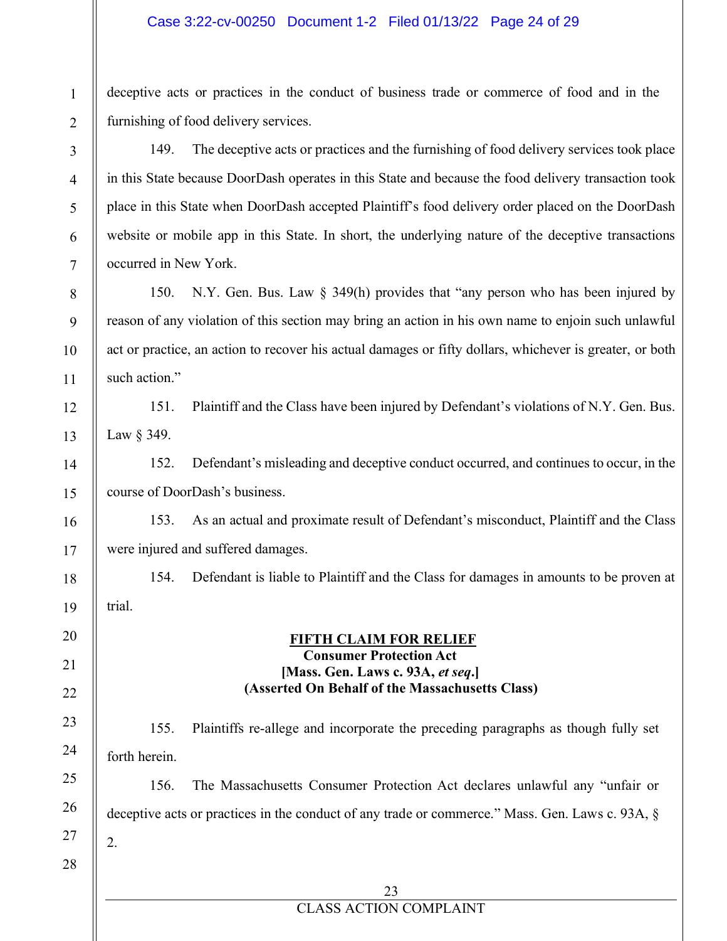#### Case 3:22-cv-00250 Document 1-2 Filed 01/13/22 Page 24 of 29

deceptive acts or practices in the conduct of business trade or commerce of food and in the furnishing of food delivery services.

149. The deceptive acts or practices and the furnishing of food delivery services took place in this State because DoorDash operates in this State and because the food delivery transaction took place in this State when DoorDash accepted Plaintiff's food delivery order placed on the DoorDash website or mobile app in this State. In short, the underlying nature of the deceptive transactions occurred in New York.

150. N.Y. Gen. Bus. Law  $\S$  349(h) provides that "any person who has been injured by reason of any violation of this section may bring an action in his own name to enjoin such unlawful act or practice, an action to recover his actual damages or fifty dollars, whichever is greater, or both such action."

151. Plaintiff and the Class have been injured by Defendant's violations of N.Y. Gen. Bus. Law § 349.

152. Defendant's misleading and deceptive conduct occurred, and continues to occur, in the course of DoorDash's business.

153. As an actual and proximate result of Defendant's misconduct, Plaintiff and the Class were injured and suffered damages.

154. Defendant is liable to Plaintiff and the Class for damages in amounts to be proven at trial.

> **FIFTH CLAIM FOR RELIEF Consumer Protection Act [Mass. Gen. Laws c. 93A,** *et seq.***] (Asserted On Behalf of the Massachusetts Class)**

155. Plaintiffs re-allege and incorporate the preceding paragraphs as though fully set forth herein.

156. The Massachusetts Consumer Protection Act declares unlawful any "unfair or deceptive acts or practices in the conduct of any trade or commerce." Mass. Gen. Laws c. 93A,  $\S$ 2.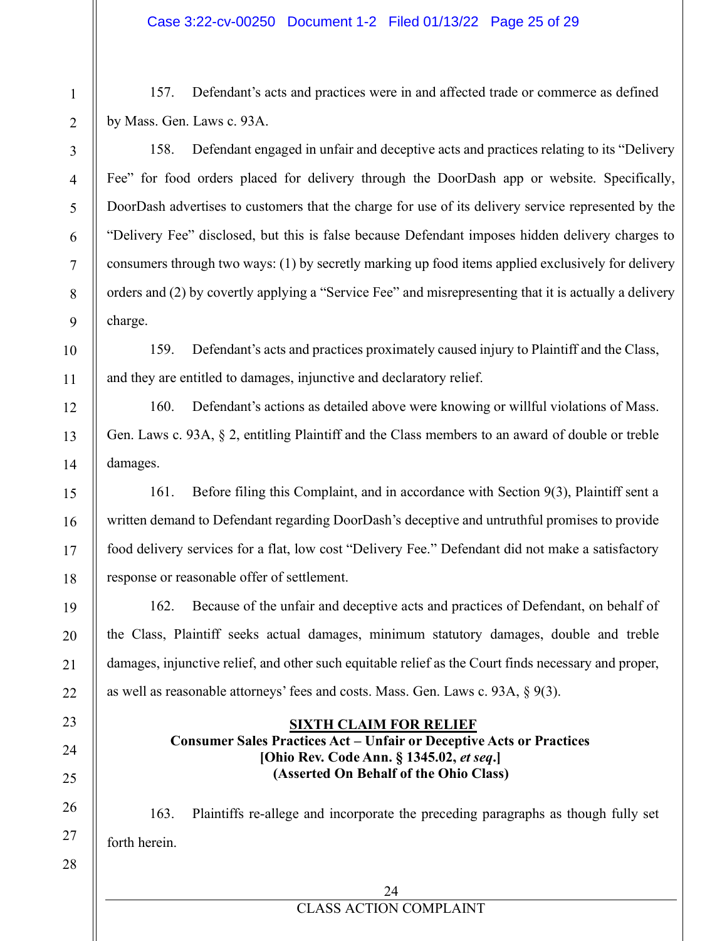157. Defendant's acts and practices were in and affected trade or commerce as defined by Mass. Gen. Laws c. 93A.

158. Defendant engaged in unfair and deceptive acts and practices relating to its "Delivery Fee" for food orders placed for delivery through the DoorDash app or website. Specifically, DoorDash advertises to customers that the charge for use of its delivery service represented by the "Delivery Fee" disclosed, but this is false because Defendant imposes hidden delivery charges to consumers through two ways: (1) by secretly marking up food items applied exclusively for delivery orders and  $(2)$  by covertly applying a "Service Fee" and misrepresenting that it is actually a delivery charge.

159. Defendant's acts and practices proximately caused injury to Plaintiff and the Class, and they are entitled to damages, injunctive and declaratory relief.

160. Defendant's actions as detailed above were knowing or willful violations of Mass. Gen. Laws c. 93A,  $\S$  2, entitling Plaintiff and the Class members to an award of double or treble damages.

161. Before filing this Complaint, and in accordance with Section 9(3), Plaintiff sent a written demand to Defendant regarding DoorDash's deceptive and untruthful promises to provide food delivery services for a flat, low cost "Delivery Fee." Defendant did not make a satisfactory response or reasonable offer of settlement.

162. Because of the unfair and deceptive acts and practices of Defendant, on behalf of the Class, Plaintiff seeks actual damages, minimum statutor\ damages, double and treble damages, injunctive relief, and other such equitable relief as the Court finds necessary and proper, as well as reasonable attorneys' fees and costs. Mass. Gen. Laws c. 93A,  $\S$  9(3).

## **SIXTH CLAIM FOR RELIEF Consumer Sales Practices Act – Unfair or Deceptive Acts or Practices**

# **[Ohio Rev. Code Ann. § 1345.02,** *et seq.***] (Asserted On Behalf of the Ohio Class)**

163. Plaintiffs re-allege and incorporate the preceding paragraphs as though fully set forth herein.

24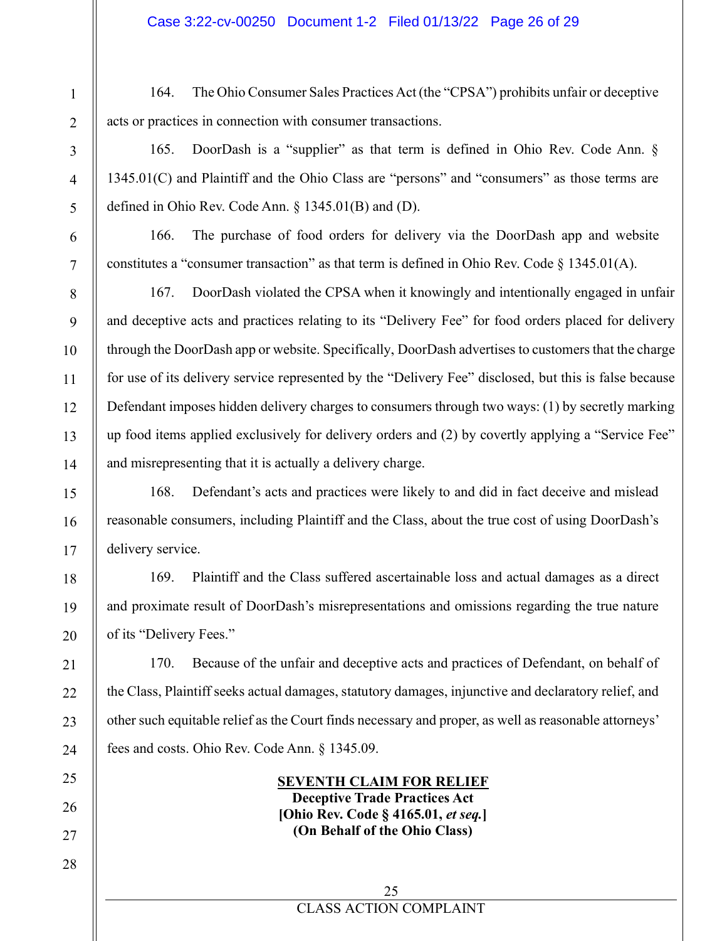164. The Ohio Consumer Sales Practices Act (the "CPSA") prohibits unfair or deceptive acts or practices in connection with consumer transactions.

165. DoorDash is a "supplier" as that term is defined in Ohio Rev. Code Ann.  $\S$  $1345.01(C)$  and Plaintiff and the Ohio Class are "persons" and "consumers" as those terms are defined in Ohio Rev. Code Ann.  $\S$  1345.01(B) and (D).

166. The purchase of food orders for delivery via the DoorDash app and website constitutes a "consumer transaction" as that term is defined in Ohio Rev. Code  $\S$  1345.01(A).

167. DoorDash violated the CPSA when it knowingly and intentionally engaged in unfair and deceptive acts and practices relating to its "Delivery Fee" for food orders placed for delivery through the DoorDash app or website. Specifically, DoorDash advertises to customers that the charge for use of its delivery service represented by the "Delivery Fee" disclosed, but this is false because Defendant imposes hidden delivery charges to consumers through two ways: (1) by secretly marking up food items applied exclusively for delivery orders and  $(2)$  by covertly applying a "Service Fee" and misrepresenting that it is actually a delivery charge.

168. Defendant's acts and practices were likely to and did in fact deceive and mislead reasonable consumers, including Plaintiff and the Class, about the true cost of using DoorDash's delivery service.

169. Plaintiff and the Class suffered ascertainable loss and actual damages as a direct and proximate result of DoorDash's misrepresentations and omissions regarding the true nature of its "Delivery Fees."

170. Because of the unfair and deceptive acts and practices of Defendant, on behalf of the Class, Plaintiff seeks actual damages, statutory damages, injunctive and declaratory relief, and other such equitable relief as the Court finds necessary and proper, as well as reasonable attorneys' fees and costs. Ohio Rev. Code Ann. § 1345.09.

#### **SEVENTH CLAIM FOR RELIEF Deceptive Trade Practices Act [Ohio Rev. Code § 4165.01,** *et seq.***] (On Behalf of the Ohio Class)**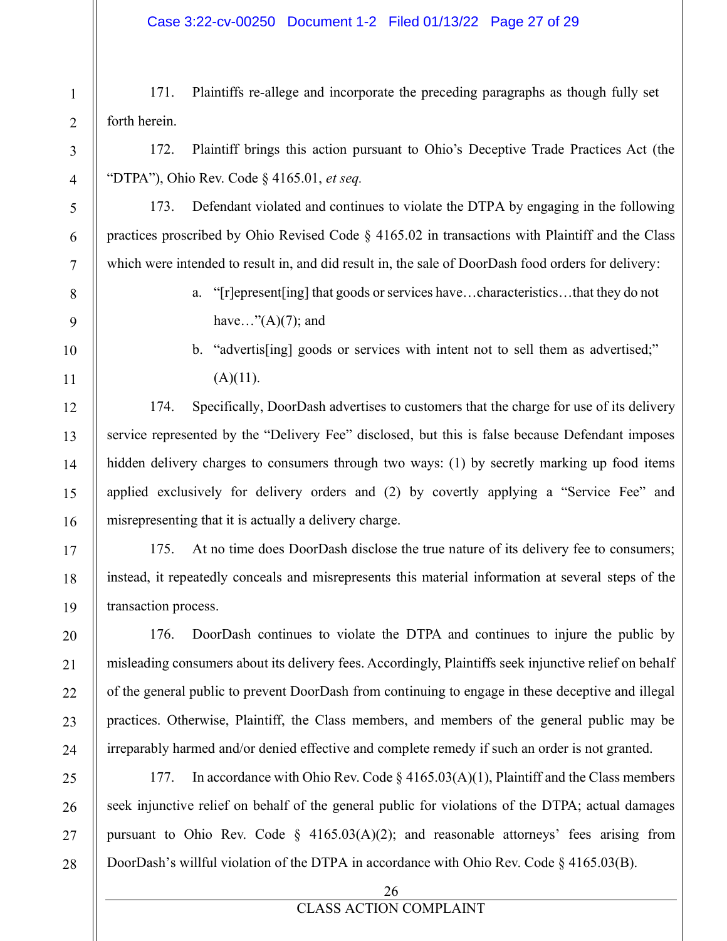171. Plaintiffs re-allege and incorporate the preceding paragraphs as though fully set forth herein.

172. Plaintiff brings this action pursuant to Ohio's Deceptive Trade Practices Act (the "DTPA"), Ohio Rev. Code § 4165.01, *et seq.* 

173. Defendant violated and continues to violate the DTPA by engaging in the following practices proscribed by Ohio Revised Code § 4165.02 in transactions with Plaintiff and the Class which were intended to result in, and did result in, the sale of DoorDash food orders for delivery:

- a. "[r]epresent[ing] that goods or services have...characteristics...that they do not have..." $(A)(7)$ ; and
- b. "advertis[ing] goods or services with intent not to sell them as advertised;"  $(A)(11)$ .

174. Specifically, DoorDash advertises to customers that the charge for use of its delivery service represented by the "Delivery Fee" disclosed, but this is false because Defendant imposes hidden delivery charges to consumers through two ways: (1) by secretly marking up food items applied exclusively for delivery orders and  $(2)$  by covertly applying a "Service Fee" and misrepresenting that it is actually a delivery charge.

175. At no time does DoorDash disclose the true nature of its delivery fee to consumers; instead, it repeatedly conceals and misrepresents this material information at several steps of the transaction process.

176. DoorDash continues to violate the DTPA and continues to injure the public by misleading consumers about its delivery fees. Accordingly, Plaintiffs seek injunctive relief on behalf of the general public to prevent DoorDash from continuing to engage in these deceptive and illegal practices. Otherwise, Plaintiff, the Class members, and members of the general public may be irreparably harmed and/or denied effective and complete remedy if such an order is not granted.

177. In accordance with Ohio Rev. Code  $\S$  4165.03(A)(1), Plaintiff and the Class members seek injunctive relief on behalf of the general public for violations of the DTPA; actual damages pursuant to Ohio Rev. Code §  $4165.03(A)(2)$ ; and reasonable attorneys' fees arising from DoorDash's willful violation of the DTPA in accordance with Ohio Rev. Code  $\S$  4165.03(B).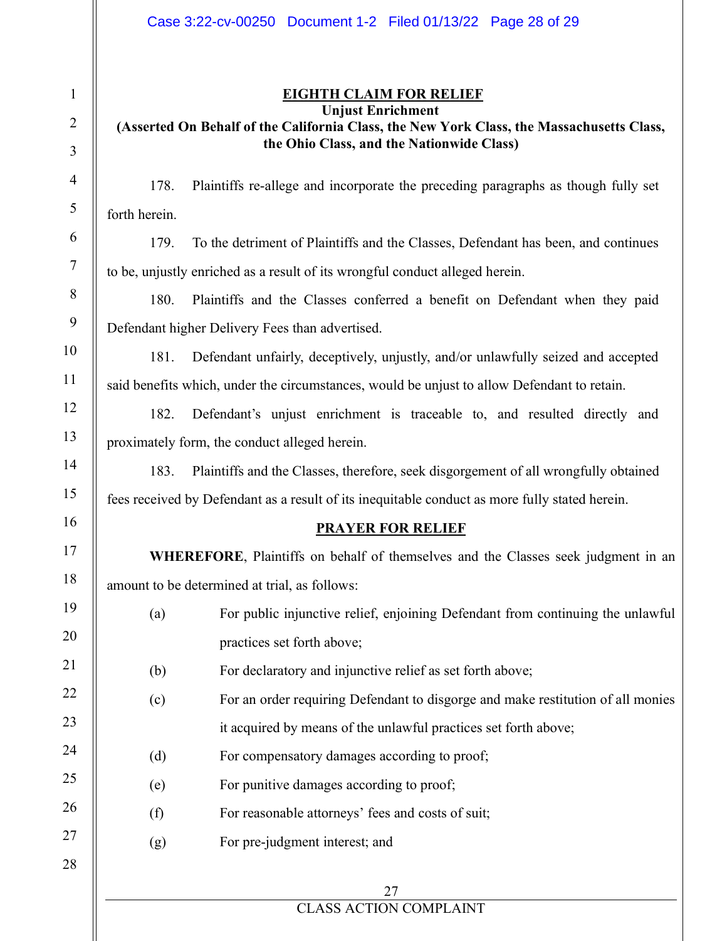## **EIGHTH CLAIM FOR RELIEF Unjust Enrichment**

# **(Asserted On Behalf of the California Class, the New York Class, the Massachusetts Class, the Ohio Class, and the Nationwide Class)**

178. Plaintiffs re-allege and incorporate the preceding paragraphs as though fully set forth herein.

179. To the detriment of Plaintiffs and the Classes, Defendant has been, and continues to be, unjustly enriched as a result of its wrongful conduct alleged herein.

180. Plaintiffs and the Classes conferred a benefit on Defendant when they paid Defendant higher Delivery Fees than advertised.

181. Defendant unfairly, deceptively, unjustly, and/or unlawfully seized and accepted said benefits which, under the circumstances, would be unjust to allow Defendant to retain.

182. Defendant's unjust enrichment is traceable to, and resulted directly and proximately form, the conduct alleged herein.

183. Plaintiffs and the Classes, therefore, seek disgorgement of all wrongfully obtained fees received by Defendant as a result of its inequitable conduct as more fully stated herein.

## **PRAYER FOR RELIEF**

**WHEREFORE**, Plaintiffs on behalf of themselves and the Classes seek judgment in an amount to be determined at trial, as follows:

- (a) For public injunctive relief, enjoining Defendant from continuing the unlawful practices set forth above;
- (b) For declaratory and injunctive relief as set forth above;
- (c) For an order requiring Defendant to disgorge and make restitution of all monies it acquired by means of the unlawful practices set forth above;
- (d) For compensatory damages according to proof;
- (e) For punitive damages according to proof;
- (f) For reasonable attorneys' fees and costs of suit;
- (g) For pre-judgment interest; and

## 27